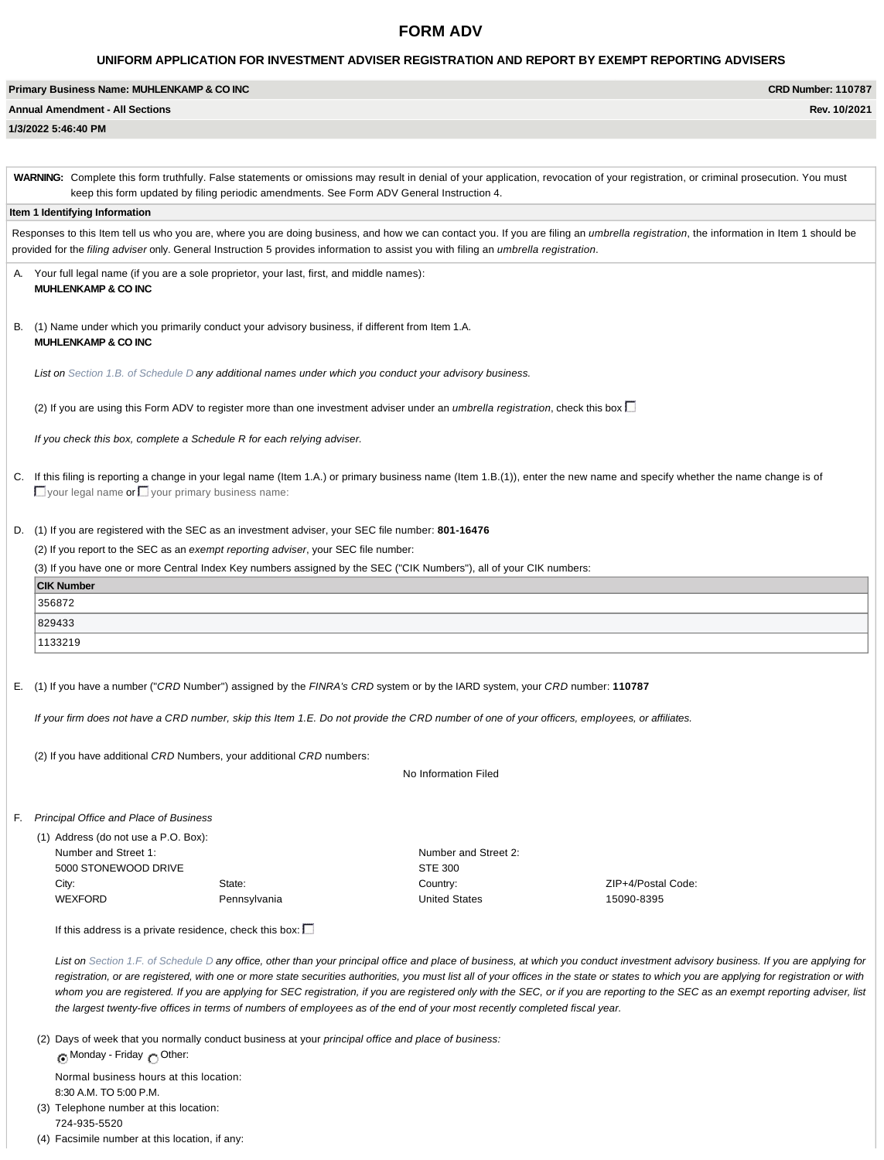# **FORM ADV**

# **UNIFORM APPLICATION FOR INVESTMENT ADVISER REGISTRATION AND REPORT BY EXEMPT REPORTING ADVISERS**

| Primary Business Name: MUHLENKAMP & CO INC | <b>CRD Number: 110787</b> |
|--------------------------------------------|---------------------------|
| <b>Annual Amendment - All Sections</b>     | Rev. 10/2021              |
| 1/3/2022 5:46:40 PM                        |                           |

WARNING: Complete this form truthfully. False statements or omissions may result in denial of your application, revocation of your registration, or criminal prosecution. You must keep this form updated by filing periodic amendments. See Form ADV General Instruction 4.

### **Item 1 Identifying Information**

Responses to this Item tell us who you are, where you are doing business, and how we can contact you. If you are filing an *umbrella registration*, the information in Item 1 should be provided for the *filing adviser* only. General Instruction 5 provides information to assist you with filing an *umbrella registration*.

- Your full legal name (if you are a sole proprietor, your last, first, and middle names): **MUHLENKAMP & CO INC**
- B. (1) Name under which you primarily conduct your advisory business, if different from Item 1.A. **MUHLENKAMP & CO INC**

*List on Section 1.B. of Schedule D any additional names under which you conduct your advisory business.*

(2) If you are using this Form ADV to register more than one investment adviser under an *umbrella registration*, check this box

*If you check this box, complete a Schedule R for each relying adviser.*

C. If this filing is reporting a change in your legal name (Item 1.A.) or primary business name (Item 1.B.(1)), enter the new name and specify whether the name change is of  $\Box$  your legal name or  $\Box$  your primary business name:

### D. (1) If you are registered with the SEC as an investment adviser, your SEC file number: **801-16476**

(2) If you report to the SEC as an *exempt reporting adviser*, your SEC file number:

(3) If you have one or more Central Index Key numbers assigned by the SEC ("CIK Numbers"), all of your CIK numbers:

| <b>CIK Number</b> |
|-------------------|
| 356872            |
| 829433            |
| 1133219           |

E. (1) If you have a number ("*CRD* Number") assigned by the *FINRA's CRD* system or by the IARD system, your *CRD* number: **110787**

*If your firm does not have a CRD number, skip this Item 1.E. Do not provide the CRD number of one of your officers, employees, or affiliates.*

(2) If you have additional *CRD* Numbers, your additional *CRD* numbers:

No Information Filed

F. *Principal Office and Place of Business*

WEXFORD

(1) Address (do not use a P.O. Box): Number and Street 1: 5000 STONEWOOD DRIVE City:

State: Pennsylvania Number and Street 2: STE 300 Country: United States

ZIP+4/Postal Code: 15090-8395

If this address is a private residence, check this box:  $\square$ 

*List on Section 1.F. of Schedule D any office, other than your principal office and place of business, at which you conduct investment advisory business. If you are applying for registration, or are registered, with one or more state securities authorities, you must list all of your offices in the state or states to which you are applying for registration or with* whom you are registered. If you are applying for SEC registration, if you are registered only with the SEC, or if you are reporting to the SEC as an exempt reporting adviser, list *the largest twenty-five offices in terms of numbers of employees as of the end of your most recently completed fiscal year.*

(2) Days of week that you normally conduct business at your *principal office and place of business:* Monday - Friday n Other:

Normal business hours at this location: 8:30 A.M. TO 5:00 P.M. (3) Telephone number at this location:

724-935-5520

(4) Facsimile number at this location, if any: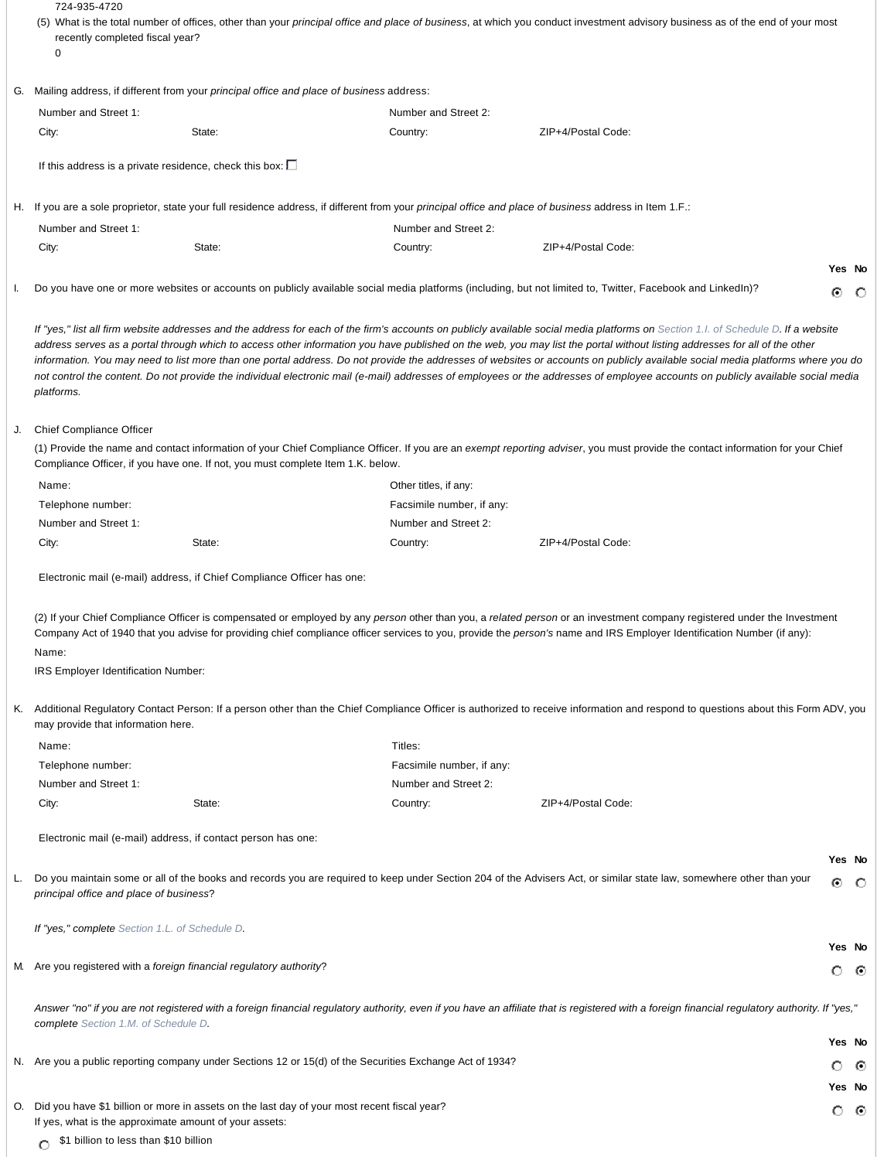|    | 724-935-4720<br>recently completed fiscal year?                   |                                                                                                          |                           | (5) What is the total number of offices, other than your principal office and place of business, at which you conduct investment advisory business as of the end of your most                                                                                                                                                                                                                                                                                                                                                                                                                                                                                                                                                         |             |     |
|----|-------------------------------------------------------------------|----------------------------------------------------------------------------------------------------------|---------------------------|---------------------------------------------------------------------------------------------------------------------------------------------------------------------------------------------------------------------------------------------------------------------------------------------------------------------------------------------------------------------------------------------------------------------------------------------------------------------------------------------------------------------------------------------------------------------------------------------------------------------------------------------------------------------------------------------------------------------------------------|-------------|-----|
|    | 0                                                                 |                                                                                                          |                           |                                                                                                                                                                                                                                                                                                                                                                                                                                                                                                                                                                                                                                                                                                                                       |             |     |
| G. |                                                                   | Mailing address, if different from your principal office and place of business address:                  |                           |                                                                                                                                                                                                                                                                                                                                                                                                                                                                                                                                                                                                                                                                                                                                       |             |     |
|    | Number and Street 1:                                              |                                                                                                          | Number and Street 2:      |                                                                                                                                                                                                                                                                                                                                                                                                                                                                                                                                                                                                                                                                                                                                       |             |     |
|    | City:                                                             | State:                                                                                                   | Country:                  | ZIP+4/Postal Code:                                                                                                                                                                                                                                                                                                                                                                                                                                                                                                                                                                                                                                                                                                                    |             |     |
|    | If this address is a private residence, check this box: $\square$ |                                                                                                          |                           |                                                                                                                                                                                                                                                                                                                                                                                                                                                                                                                                                                                                                                                                                                                                       |             |     |
|    |                                                                   |                                                                                                          |                           |                                                                                                                                                                                                                                                                                                                                                                                                                                                                                                                                                                                                                                                                                                                                       |             |     |
|    |                                                                   |                                                                                                          |                           | H. If you are a sole proprietor, state your full residence address, if different from your <i>principal office and place of business</i> address in Item 1.F.:                                                                                                                                                                                                                                                                                                                                                                                                                                                                                                                                                                        |             |     |
|    | Number and Street 1:                                              |                                                                                                          | Number and Street 2:      |                                                                                                                                                                                                                                                                                                                                                                                                                                                                                                                                                                                                                                                                                                                                       |             |     |
|    | City:                                                             | State:                                                                                                   | Country:                  | ZIP+4/Postal Code:                                                                                                                                                                                                                                                                                                                                                                                                                                                                                                                                                                                                                                                                                                                    |             |     |
|    |                                                                   |                                                                                                          |                           |                                                                                                                                                                                                                                                                                                                                                                                                                                                                                                                                                                                                                                                                                                                                       | Yes No      |     |
|    |                                                                   |                                                                                                          |                           | Do you have one or more websites or accounts on publicly available social media platforms (including, but not limited to, Twitter, Facebook and LinkedIn)?                                                                                                                                                                                                                                                                                                                                                                                                                                                                                                                                                                            | ⊙           | - 0 |
|    | platforms.                                                        |                                                                                                          |                           | If "yes," list all firm website addresses and the address for each of the firm's accounts on publicly available social media platforms on Section 1.1. of Schedule D. If a website<br>address serves as a portal through which to access other information you have published on the web, you may list the portal without listing addresses for all of the other<br>information. You may need to list more than one portal address. Do not provide the addresses of websites or accounts on publicly available social media platforms where you do<br>not control the content. Do not provide the individual electronic mail (e-mail) addresses of employees or the addresses of employee accounts on publicly available social media |             |     |
|    | <b>Chief Compliance Officer</b>                                   |                                                                                                          |                           |                                                                                                                                                                                                                                                                                                                                                                                                                                                                                                                                                                                                                                                                                                                                       |             |     |
|    |                                                                   | Compliance Officer, if you have one. If not, you must complete Item 1.K. below.                          |                           | (1) Provide the name and contact information of your Chief Compliance Officer. If you are an exempt reporting adviser, you must provide the contact information for your Chief                                                                                                                                                                                                                                                                                                                                                                                                                                                                                                                                                        |             |     |
|    | Name:                                                             |                                                                                                          | Other titles, if any:     |                                                                                                                                                                                                                                                                                                                                                                                                                                                                                                                                                                                                                                                                                                                                       |             |     |
|    | Telephone number:                                                 |                                                                                                          | Facsimile number, if any: |                                                                                                                                                                                                                                                                                                                                                                                                                                                                                                                                                                                                                                                                                                                                       |             |     |
|    | Number and Street 1:                                              |                                                                                                          | Number and Street 2:      |                                                                                                                                                                                                                                                                                                                                                                                                                                                                                                                                                                                                                                                                                                                                       |             |     |
|    | City:                                                             | State:                                                                                                   | Country:                  | ZIP+4/Postal Code:                                                                                                                                                                                                                                                                                                                                                                                                                                                                                                                                                                                                                                                                                                                    |             |     |
|    |                                                                   | Electronic mail (e-mail) address, if Chief Compliance Officer has one:                                   |                           |                                                                                                                                                                                                                                                                                                                                                                                                                                                                                                                                                                                                                                                                                                                                       |             |     |
|    | Name:<br>IRS Employer Identification Number:                      |                                                                                                          |                           | (2) If your Chief Compliance Officer is compensated or employed by any person other than you, a related person or an investment company registered under the Investment<br>Company Act of 1940 that you advise for providing chief compliance officer services to you, provide the person's name and IRS Employer Identification Number (if any):                                                                                                                                                                                                                                                                                                                                                                                     |             |     |
| K. | may provide that information here.                                |                                                                                                          |                           | Additional Regulatory Contact Person: If a person other than the Chief Compliance Officer is authorized to receive information and respond to questions about this Form ADV, you                                                                                                                                                                                                                                                                                                                                                                                                                                                                                                                                                      |             |     |
|    | Name:                                                             |                                                                                                          | Titles:                   |                                                                                                                                                                                                                                                                                                                                                                                                                                                                                                                                                                                                                                                                                                                                       |             |     |
|    | Telephone number:                                                 |                                                                                                          | Facsimile number, if any: |                                                                                                                                                                                                                                                                                                                                                                                                                                                                                                                                                                                                                                                                                                                                       |             |     |
|    | Number and Street 1:                                              |                                                                                                          | Number and Street 2:      |                                                                                                                                                                                                                                                                                                                                                                                                                                                                                                                                                                                                                                                                                                                                       |             |     |
|    | City:                                                             | State:                                                                                                   | Country:                  | ZIP+4/Postal Code:                                                                                                                                                                                                                                                                                                                                                                                                                                                                                                                                                                                                                                                                                                                    |             |     |
|    |                                                                   | Electronic mail (e-mail) address, if contact person has one:                                             |                           |                                                                                                                                                                                                                                                                                                                                                                                                                                                                                                                                                                                                                                                                                                                                       |             |     |
|    | principal office and place of business?                           |                                                                                                          |                           | Do you maintain some or all of the books and records you are required to keep under Section 204 of the Advisers Act, or similar state law, somewhere other than your                                                                                                                                                                                                                                                                                                                                                                                                                                                                                                                                                                  | Yes No<br>⊙ | - 0 |
|    | If "yes," complete Section 1.L. of Schedule D.                    |                                                                                                          |                           |                                                                                                                                                                                                                                                                                                                                                                                                                                                                                                                                                                                                                                                                                                                                       | Yes No      |     |
|    |                                                                   | M. Are you registered with a foreign financial regulatory authority?                                     |                           |                                                                                                                                                                                                                                                                                                                                                                                                                                                                                                                                                                                                                                                                                                                                       | ் ⊚         |     |
|    | complete Section 1.M. of Schedule D.                              |                                                                                                          |                           | Answer "no" if you are not registered with a foreign financial regulatory authority, even if you have an affiliate that is registered with a foreign financial regulatory authority. If "yes,"                                                                                                                                                                                                                                                                                                                                                                                                                                                                                                                                        |             |     |
|    |                                                                   |                                                                                                          |                           |                                                                                                                                                                                                                                                                                                                                                                                                                                                                                                                                                                                                                                                                                                                                       | Yes No      |     |
|    |                                                                   | N. Are you a public reporting company under Sections 12 or 15(d) of the Securities Exchange Act of 1934? |                           |                                                                                                                                                                                                                                                                                                                                                                                                                                                                                                                                                                                                                                                                                                                                       | O           | -⊙  |
|    |                                                                   |                                                                                                          |                           |                                                                                                                                                                                                                                                                                                                                                                                                                                                                                                                                                                                                                                                                                                                                       | Yes No      |     |
| О. |                                                                   | Did you have \$1 billion or more in assets on the last day of your most recent fiscal year?              |                           |                                                                                                                                                                                                                                                                                                                                                                                                                                                                                                                                                                                                                                                                                                                                       |             |     |
|    | If yes, what is the approximate amount of your assets:            |                                                                                                          |                           |                                                                                                                                                                                                                                                                                                                                                                                                                                                                                                                                                                                                                                                                                                                                       | о           | ⊙   |
|    | \$1 billion to less than \$10 billion                             |                                                                                                          |                           |                                                                                                                                                                                                                                                                                                                                                                                                                                                                                                                                                                                                                                                                                                                                       |             |     |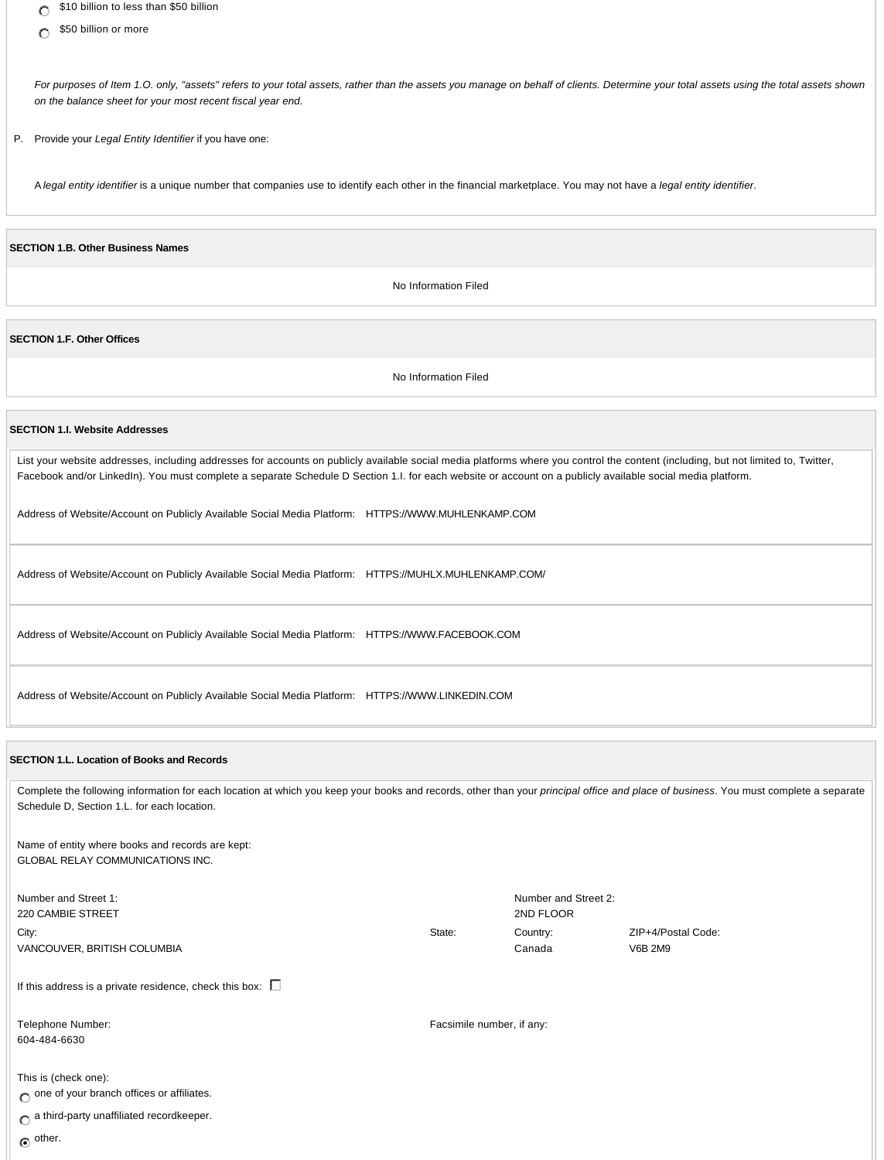- \$10 billion to less than \$50 billion  $\circ$
- \$50 billion or more  $\circ$

*For purposes of Item 1.O. only, "assets" refers to your total assets, rather than the assets you manage on behalf of clients. Determine your total assets using the total assets shown on the balance sheet for your most recent fiscal year end.*

P. Provide your *Legal Entity Identifier* if you have one:

A *legal entity identifier* is a unique number that companies use to identify each other in the financial marketplace. You may not have a *legal entity identifier*.

### **SECTION 1.B. Other Business Names**

No Information Filed

**SECTION 1.F. Other Offices**

No Information Filed

## **SECTION 1.I. Website Addresses**

List your website addresses, including addresses for accounts on publicly available social media platforms where you control the content (including, but not limited to, Twitter, Facebook and/or LinkedIn). You must complete a separate Schedule D Section 1.I. for each website or account on a publicly available social media platform.

Address of Website/Account on Publicly Available Social Media Platform: HTTPS://WWW.MUHLENKAMP.COM

Address of Website/Account on Publicly Available Social Media Platform: HTTPS://MUHLX.MUHLENKAMP.COM/

Address of Website/Account on Publicly Available Social Media Platform: HTTPS://WWW.FACEBOOK.COM

Address of Website/Account on Publicly Available Social Media Platform: HTTPS://WWW.LINKEDIN.COM

### **SECTION 1.L. Location of Books and Records**

Complete the following information for each location at which you keep your books and records, other than your *principal office and place of business*. You must complete a separate Schedule D, Section 1.L. for each location.

Number and Street 2:

ZIP+4/Postal Code:

V6B 2M9

2ND FLOOR

Canada

State: Country:

Facsimile number, if any:

Name of entity where books and records are kept: GLOBAL RELAY COMMUNICATIONS INC.

Number and Street 1: 220 CAMBIE STREET City: VANCOUVER, BRITISH COLUMBIA

If this address is a private residence, check this box:  $\square$ 

Telephone Number: 604-484-6630

This is (check one):  $\bigcap$  one of your branch offices or affiliates.

 $\bigcirc$  a third-party unaffiliated recordkeeper.

 $\odot$  other.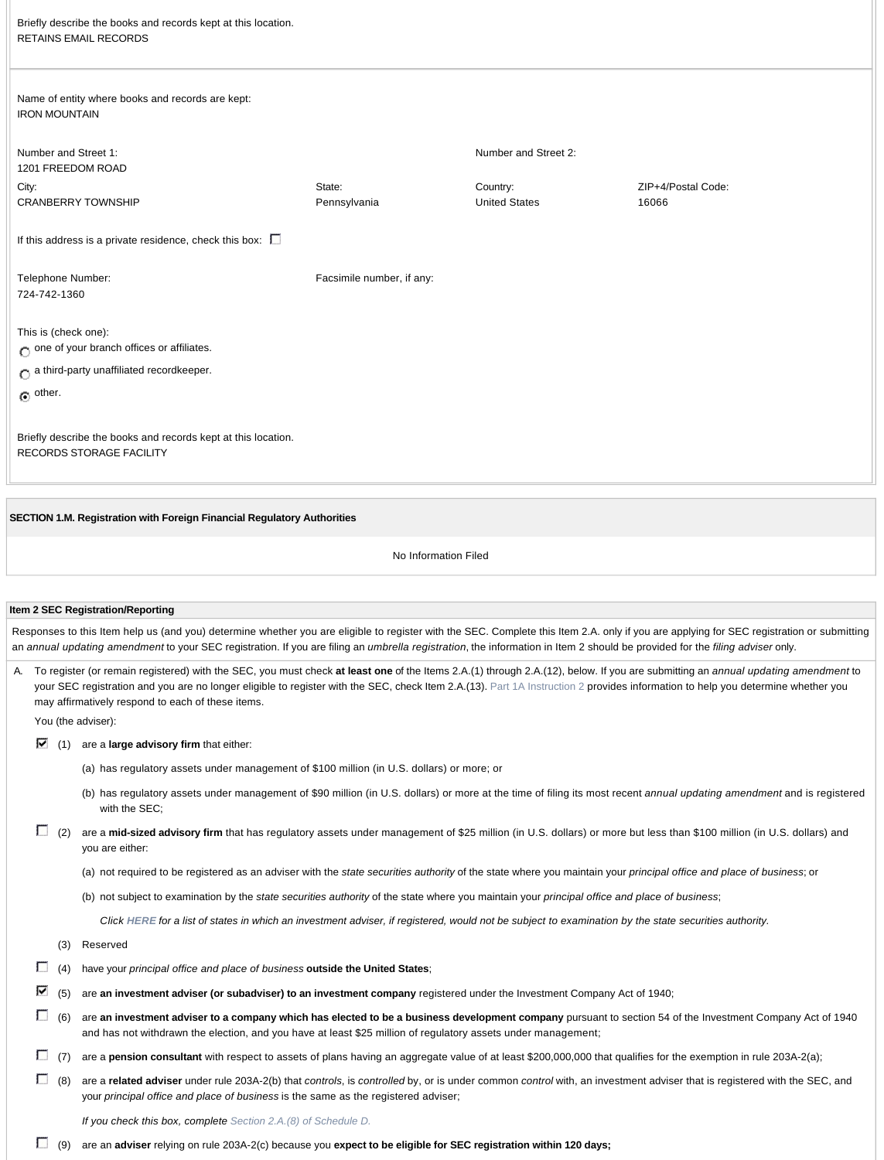| Briefly describe the books and records kept at this location.<br><b>RETAINS EMAIL RECORDS</b> |                           |                                  |                             |
|-----------------------------------------------------------------------------------------------|---------------------------|----------------------------------|-----------------------------|
| Name of entity where books and records are kept:<br><b>IRON MOUNTAIN</b>                      |                           |                                  |                             |
| Number and Street 1:<br>1201 FREEDOM ROAD                                                     |                           | Number and Street 2:             |                             |
| City:<br><b>CRANBERRY TOWNSHIP</b>                                                            | State:<br>Pennsylvania    | Country:<br><b>United States</b> | ZIP+4/Postal Code:<br>16066 |
| If this address is a private residence, check this box: $\square$                             |                           |                                  |                             |
| Telephone Number:<br>724-742-1360                                                             | Facsimile number, if any: |                                  |                             |
| This is (check one):<br>$\bigcirc$ one of your branch offices or affiliates.                  |                           |                                  |                             |
| $\bigcirc$ a third-party unaffiliated recordkeeper.                                           |                           |                                  |                             |
| $\odot$ other.                                                                                |                           |                                  |                             |
| Briefly describe the books and records kept at this location.<br>RECORDS STORAGE FACILITY     |                           |                                  |                             |

**SECTION 1.M. Registration with Foreign Financial Regulatory Authorities**

No Information Filed

#### **Item 2 SEC Registration/Reporting**

Responses to this Item help us (and you) determine whether you are eligible to register with the SEC. Complete this Item 2.A. only if you are applying for SEC registration or submitting an *annual updating amendment* to your SEC registration. If you are filing an *umbrella registration*, the information in Item 2 should be provided for the *filing adviser* only.

A. To register (or remain registered) with the SEC, you must check **at least one** of the Items 2.A.(1) through 2.A.(12), below. If you are submitting an *annual updating amendment* to your SEC registration and you are no longer eligible to register with the SEC, check Item 2.A.(13). Part 1A Instruction 2 provides information to help you determine whether you may affirmatively respond to each of these items.

You (the adviser):

- (1) are a **large advisory firm** that either:
	- (a) has regulatory assets under management of \$100 million (in U.S. dollars) or more; or
	- (b) has regulatory assets under management of \$90 million (in U.S. dollars) or more at the time of filing its most recent *annual updating amendment* and is registered with the SEC;
- [1] (2) are a mid-sized advisory firm that has regulatory assets under management of \$25 million (in U.S. dollars) or more but less than \$100 million (in U.S. dollars) and you are either:
	- (a) not required to be registered as an adviser with the *state securities authority* of the state where you maintain your *principal office and place of business*; or
	- (b) not subject to examination by the *state securities authority* of the state where you maintain your *principal office and place of business*;

*Click HERE for a list of states in which an investment adviser, if registered, would not be subject to examination by the state securities authority.*

- (3) Reserved
- (4) have your *principal office and place of business* **outside the United States**;
- (5) are **an investment adviser (or subadviser) to an investment company** registered under the Investment Company Act of 1940;
- (6) are **an investment adviser to a company which has elected to be a business development company** pursuant to section 54 of the Investment Company Act of 1940 and has not withdrawn the election, and you have at least \$25 million of regulatory assets under management;
- [7] (7) are a **pension consultant** with respect to assets of plans having an aggregate value of at least \$200,000,000 that qualifies for the exemption in rule 203A-2(a);
- (8) are a **related adviser** under rule 203A-2(b) that *controls*, is *controlled* by, or is under common *control* with, an investment adviser that is registered with the SEC, and your *principal office and place of business* is the same as the registered adviser;

*If you check this box, complete Section 2.A.(8) of Schedule D.*

(9) are an **adviser** relying on rule 203A-2(c) because you **expect to be eligible for SEC registration within 120 days;**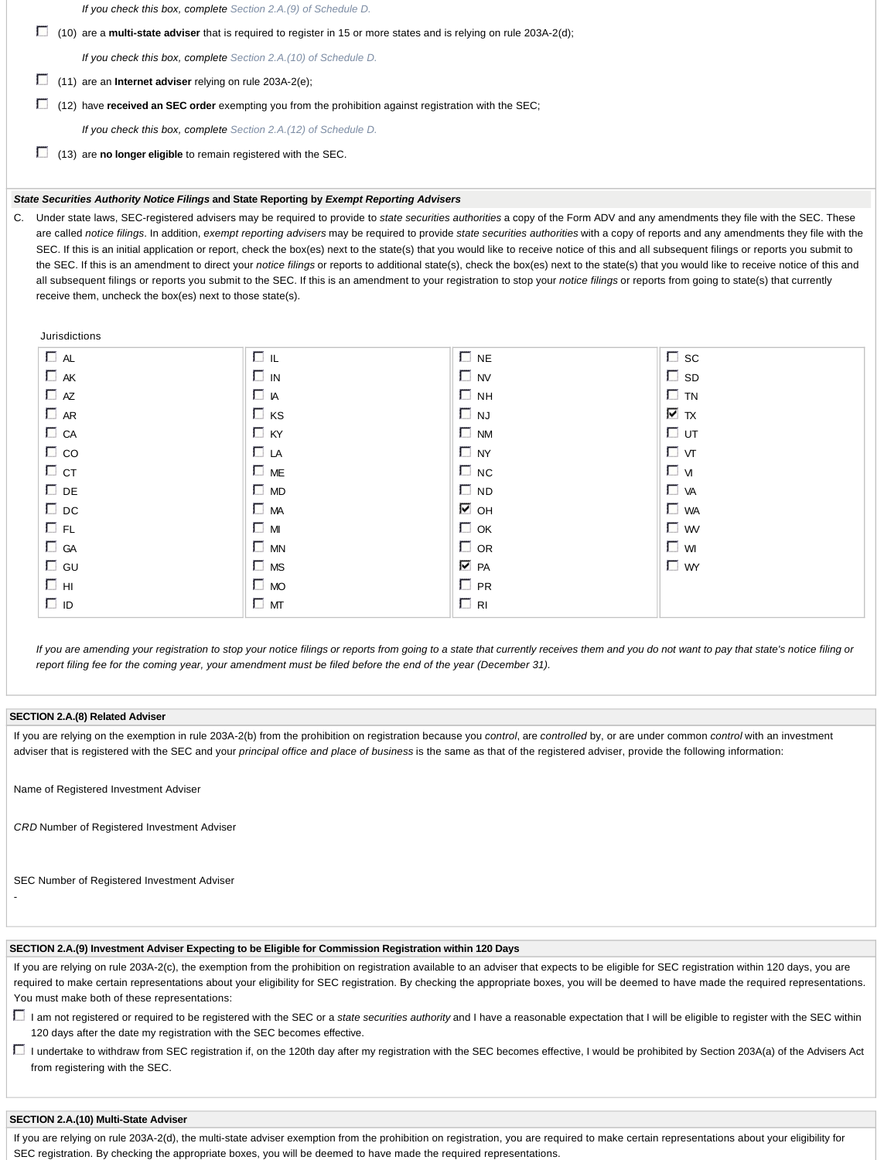*If you check this box, complete Section 2.A.(9) of Schedule D.*

(10) are a **multi-state adviser** that is required to register in 15 or more states and is relying on rule 203A-2(d);

*If you check this box, complete Section 2.A.(10) of Schedule D.*

- (11) are an **Internet adviser** relying on rule 203A-2(e);
- (12) have **received an SEC order** exempting you from the prohibition against registration with the SEC;

*If you check this box, complete Section 2.A.(12) of Schedule D.*

(13) are **no longer eligible** to remain registered with the SEC.

# *State Securities Authority Notice Filings* **and State Reporting by** *Exempt Reporting Advisers*

C. Under state laws, SEC-registered advisers may be required to provide to *state securities authorities* a copy of the Form ADV and any amendments they file with the SEC. These are called *notice filings*. In addition, *exempt reporting advisers* may be required to provide *state securities authorities* with a copy of reports and any amendments they file with the SEC. If this is an initial application or report, check the box(es) next to the state(s) that you would like to receive notice of this and all subsequent filings or reports you submit to the SEC. If this is an amendment to direct your *notice filings* or reports to additional state(s), check the box(es) next to the state(s) that you would like to receive notice of this and all subsequent filings or reports you submit to the SEC. If this is an amendment to your registration to stop your *notice filings* or reports from going to state(s) that currently receive them, uncheck the box(es) next to those state(s).

Jurisdictions

| $\Box$ AL    | ⊡ ⊫       | $\Box$ NE         | $\square$ sc |
|--------------|-----------|-------------------|--------------|
| $\Box$ AK    | $\Box$ IN | $\Box$ NV         | $\square$ sp |
| $\Box$ AZ    | ПA        | $\Box$ NH         | $\Box$ TN    |
| $\Box$ AR    | $\Box$ KS | $\Box$ NJ         | ⊽ π          |
| $\Box$ CA    | $\Box$ KY | $\Box$ NM         | ⊡ ∪т         |
| $\Box$ co    | $\Box$ LA | $\Box$ NY         | $\Box$ vt    |
| $\Box$ CT    | $\Box$ ME | $\Box$ NC         | Гv           |
| $\square$ DE | $\Box$ MD | $\Box$ ND         | $\Box$ VA    |
| $\Box$ DC    | $\Box$ MA | М он              | $\Box$ WA    |
| <b>E</b> FL  | $\Box$ M  | $\Box$ OK         | $\Box$ w     |
| $\Box$ GA    | $\Box$ MN | $\Box$ OR         | $\Box$ wi    |
| $\Box$ GU    | $\Box$ MS | $\overline{V}$ PA | $\Box$ WY    |
| E HI         | $\Box$ MO | $\Box$ PR         |              |
| O D          | $\Box$ MT | $\Box$ RI         |              |

*If you are amending your registration to stop your notice filings or reports from going to a state that currently receives them and you do not want to pay that state's notice filing or report filing fee for the coming year, your amendment must be filed before the end of the year (December 31).*

### **SECTION 2.A.(8) Related Adviser**

-

If you are relying on the exemption in rule 203A-2(b) from the prohibition on registration because you *control*, are *controlled* by, or are under common *control* with an investment adviser that is registered with the SEC and your *principal office and place of business* is the same as that of the registered adviser, provide the following information:

Name of Registered Investment Adviser

*CRD* Number of Registered Investment Adviser

SEC Number of Registered Investment Adviser

### **SECTION 2.A.(9) Investment Adviser Expecting to be Eligible for Commission Registration within 120 Days**

If you are relying on rule 203A-2(c), the exemption from the prohibition on registration available to an adviser that expects to be eligible for SEC registration within 120 days, you are required to make certain representations about your eligibility for SEC registration. By checking the appropriate boxes, you will be deemed to have made the required representations. You must make both of these representations:

- □ I am not registered or required to be registered with the SEC or a *state securities authority* and I have a reasonable expectation that I will be eligible to register with the SEC within 120 days after the date my registration with the SEC becomes effective.
- □ I undertake to withdraw from SEC registration if, on the 120th day after my registration with the SEC becomes effective, I would be prohibited by Section 203A(a) of the Advisers Act from registering with the SEC.

### **SECTION 2.A.(10) Multi-State Adviser**

If you are relying on rule 203A-2(d), the multi-state adviser exemption from the prohibition on registration, you are required to make certain representations about your eligibility for SEC registration. By checking the appropriate boxes, you will be deemed to have made the required representations.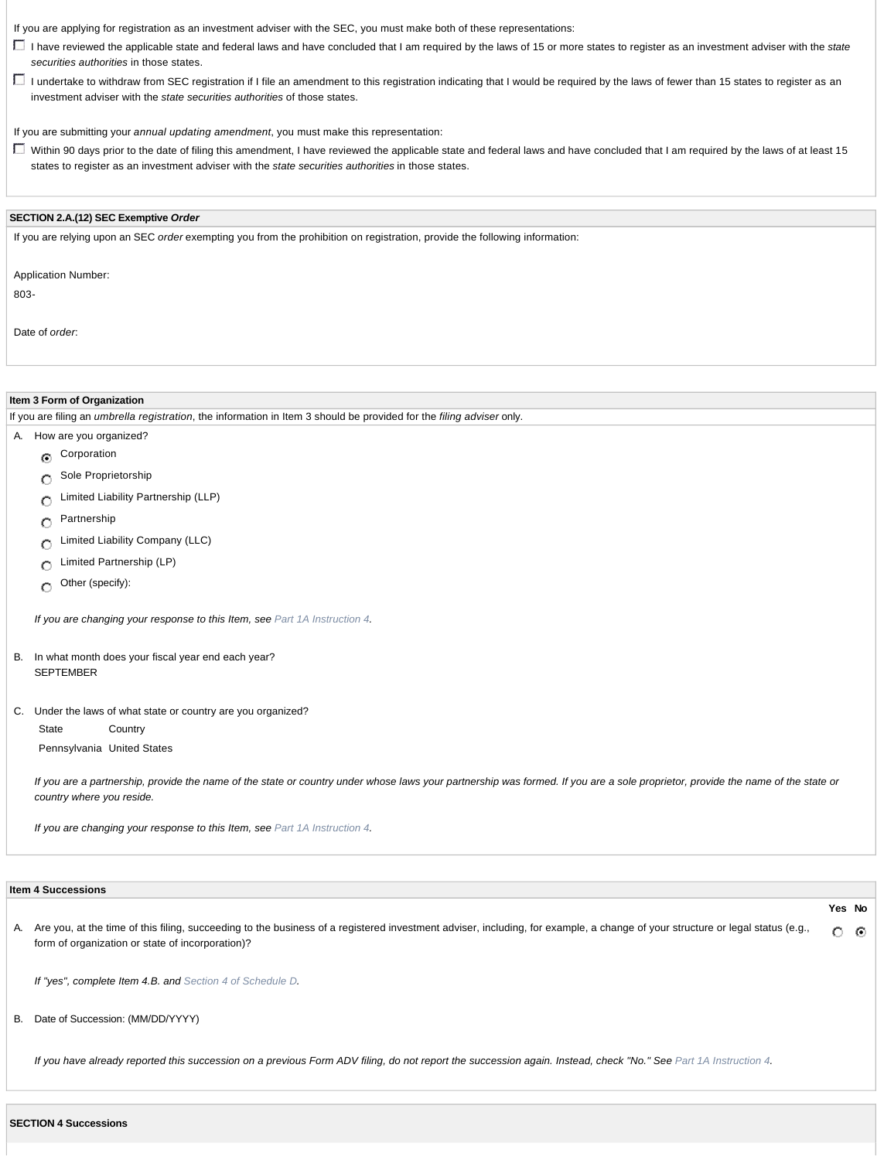If you are applying for registration as an investment adviser with the SEC, you must make both of these representations:

- I have reviewed the applicable state and federal laws and have concluded that I am required by the laws of 15 or more states to register as an investment adviser with the *state securities authorities* in those states.
- I undertake to withdraw from SEC registration if I file an amendment to this registration indicating that I would be required by the laws of fewer than 15 states to register as an investment adviser with the *state securities authorities* of those states.

If you are submitting your *annual updating amendment*, you must make this representation:

Within 90 days prior to the date of filing this amendment, I have reviewed the applicable state and federal laws and have concluded that I am required by the laws of at least 15 states to register as an investment adviser with the *state securities authorities* in those states.

# **SECTION 2.A.(12) SEC Exemptive** *Order*

If you are relying upon an SEC *order* exempting you from the prohibition on registration, provide the following information:

Application Number:

803-

Date of *order*:

| Item 3 Form of Organization                                                                                                                                                                                  |  |  |
|--------------------------------------------------------------------------------------------------------------------------------------------------------------------------------------------------------------|--|--|
| If you are filing an umbrella registration, the information in Item 3 should be provided for the filing adviser only.                                                                                        |  |  |
| How are you organized?<br>A.                                                                                                                                                                                 |  |  |
| Corporation<br>$\odot$                                                                                                                                                                                       |  |  |
| Sole Proprietorship<br>O                                                                                                                                                                                     |  |  |
| Limited Liability Partnership (LLP)<br>O                                                                                                                                                                     |  |  |
| Partnership<br>O                                                                                                                                                                                             |  |  |
| Limited Liability Company (LLC)<br>O                                                                                                                                                                         |  |  |
| Limited Partnership (LP)<br>О                                                                                                                                                                                |  |  |
| Other (specify):<br>$\circ$                                                                                                                                                                                  |  |  |
| If you are changing your response to this Item, see Part 1A Instruction 4.<br>In what month does your fiscal year end each year?<br>В.                                                                       |  |  |
| <b>SEPTEMBER</b>                                                                                                                                                                                             |  |  |
| C. Under the laws of what state or country are you organized?                                                                                                                                                |  |  |
| State<br>Country                                                                                                                                                                                             |  |  |
| Pennsylvania United States                                                                                                                                                                                   |  |  |
| If you are a partnership, provide the name of the state or country under whose laws your partnership was formed. If you are a sole proprietor, provide the name of the state or<br>country where you reside. |  |  |
| If you are changing your response to this Item, see Part 1A Instruction 4.                                                                                                                                   |  |  |

|    | <b>Item 4 Successions</b>                                                                                                                                                                                                            |                   |   |
|----|--------------------------------------------------------------------------------------------------------------------------------------------------------------------------------------------------------------------------------------|-------------------|---|
|    | A. Are you, at the time of this filing, succeeding to the business of a registered investment adviser, including, for example, a change of your structure or legal status (e.g.,<br>form of organization or state of incorporation)? | Yes No<br>$\circ$ | ⊙ |
|    | If "yes", complete Item 4.B. and Section 4 of Schedule D.                                                                                                                                                                            |                   |   |
| В. | Date of Succession: (MM/DD/YYYY)                                                                                                                                                                                                     |                   |   |
|    | If you have already reported this succession on a previous Form ADV filing, do not report the succession again. Instead, check "No." See Part 1A Instruction 4.                                                                      |                   |   |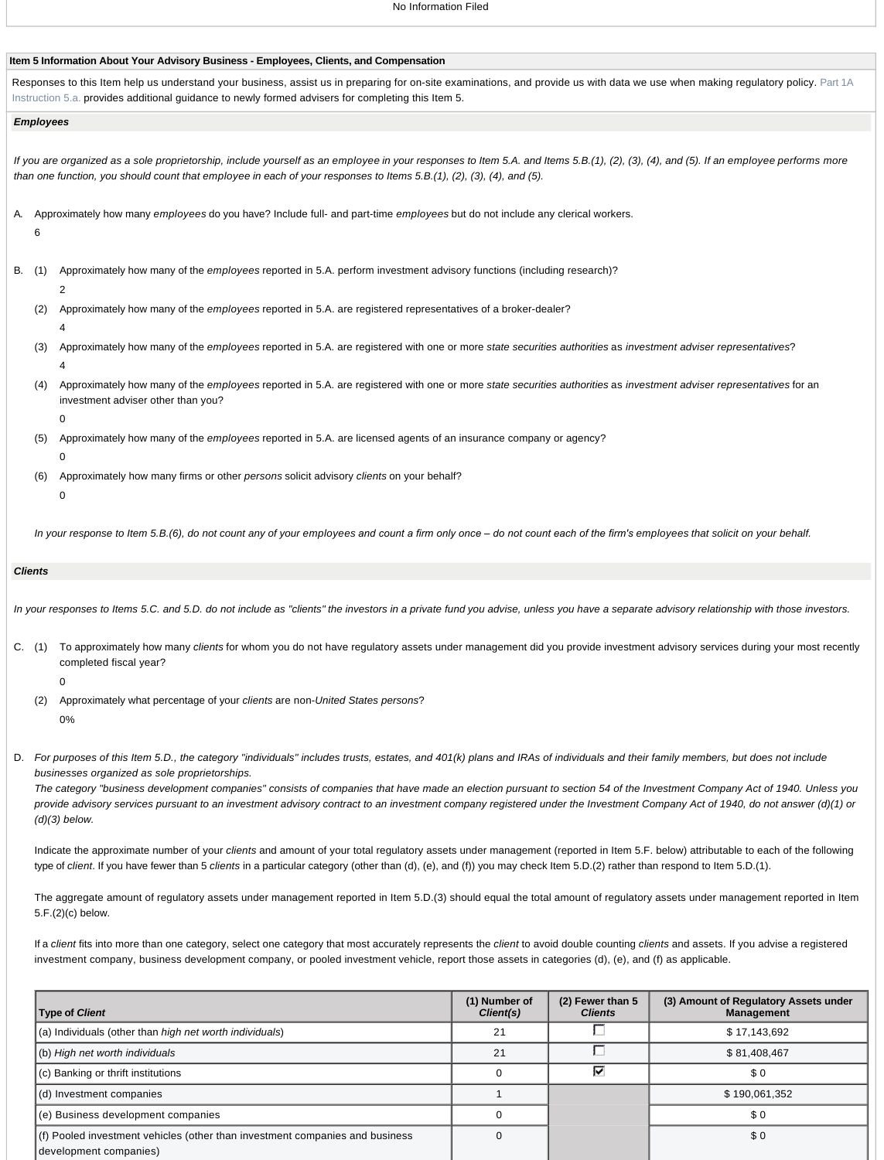### **Item 5 Information About Your Advisory Business - Employees, Clients, and Compensation**

Responses to this Item help us understand your business, assist us in preparing for on-site examinations, and provide us with data we use when making regulatory policy. Part 1A Instruction 5.a. provides additional guidance to newly formed advisers for completing this Item 5.

### *Employees*

*If you are organized as a sole proprietorship, include yourself as an employee in your responses to Item 5.A. and Items 5.B.(1), (2), (3), (4), and (5). If an employee performs more than one function, you should count that employee in each of your responses to Items 5.B.(1), (2), (3), (4), and (5).*

- A. Approximately how many *employees* do you have? Include full- and part-time *employees* but do not include any clerical workers. 6
- B. (1) Approximately how many of the *employees* reported in 5.A. perform investment advisory functions (including research)?
	- 2
	- (2) Approximately how many of the *employees* reported in 5.A. are registered representatives of a broker-dealer? 4
	- (3) Approximately how many of the *employees* reported in 5.A. are registered with one or more *state securities authorities* as *investment adviser representatives*? 4
	- (4) Approximately how many of the *employees* reported in 5.A. are registered with one or more *state securities authorities* as *investment adviser representatives* for an investment adviser other than you?
		- 0
	- (5) Approximately how many of the *employees* reported in 5.A. are licensed agents of an insurance company or agency?
	- (6) Approximately how many firms or other *persons* solicit advisory *clients* on your behalf?
		- $\Omega$

 $\Omega$ 

In your response to Item 5.B.(6), do not count any of your employees and count a firm only once – do not count each of the firm's employees that solicit on your behalf.

### *Clients*

*In your responses to Items 5.C. and 5.D. do not include as "clients" the investors in a private fund you advise, unless you have a separate advisory relationship with those investors.*

C. (1) To approximately how many *clients* for whom you do not have regulatory assets under management did you provide investment advisory services during your most recently completed fiscal year?

#### 0

- (2) Approximately what percentage of your *clients* are non-*United States persons*? 0%
- D. *For purposes of this Item 5.D., the category "individuals" includes trusts, estates, and 401(k) plans and IRAs of individuals and their family members, but does not include businesses organized as sole proprietorships.*

*The category "business development companies" consists of companies that have made an election pursuant to section 54 of the Investment Company Act of 1940. Unless you provide advisory services pursuant to an investment advisory contract to an investment company registered under the Investment Company Act of 1940, do not answer (d)(1) or (d)(3) below.*

Indicate the approximate number of your *clients* and amount of your total regulatory assets under management (reported in Item 5.F. below) attributable to each of the following type of *client*. If you have fewer than 5 *clients* in a particular category (other than (d), (e), and (f)) you may check Item 5.D.(2) rather than respond to Item 5.D.(1).

The aggregate amount of regulatory assets under management reported in Item 5.D.(3) should equal the total amount of regulatory assets under management reported in Item 5.F.(2)(c) below.

If a *client* fits into more than one category, select one category that most accurately represents the *client* to avoid double counting *clients* and assets. If you advise a registered investment company, business development company, or pooled investment vehicle, report those assets in categories (d), (e), and (f) as applicable.

| <b>Type of Client</b>                                                                                  | (1) Number of<br>Client(s) | $(2)$ Fewer than 5<br><b>Clients</b> | (3) Amount of Regulatory Assets under<br><b>Management</b> |
|--------------------------------------------------------------------------------------------------------|----------------------------|--------------------------------------|------------------------------------------------------------|
| (a) Individuals (other than <i>high net worth individuals</i> )                                        | 21                         |                                      | \$17,143,692                                               |
| (b) High net worth individuals                                                                         | 21                         |                                      | \$81,408,467                                               |
| (c) Banking or thrift institutions                                                                     | 0                          | ⊽                                    | \$0                                                        |
| (d) Investment companies                                                                               |                            |                                      | \$190,061,352                                              |
| (e) Business development companies                                                                     |                            |                                      | \$0                                                        |
| (f) Pooled investment vehicles (other than investment companies and business<br>development companies) |                            |                                      | \$0                                                        |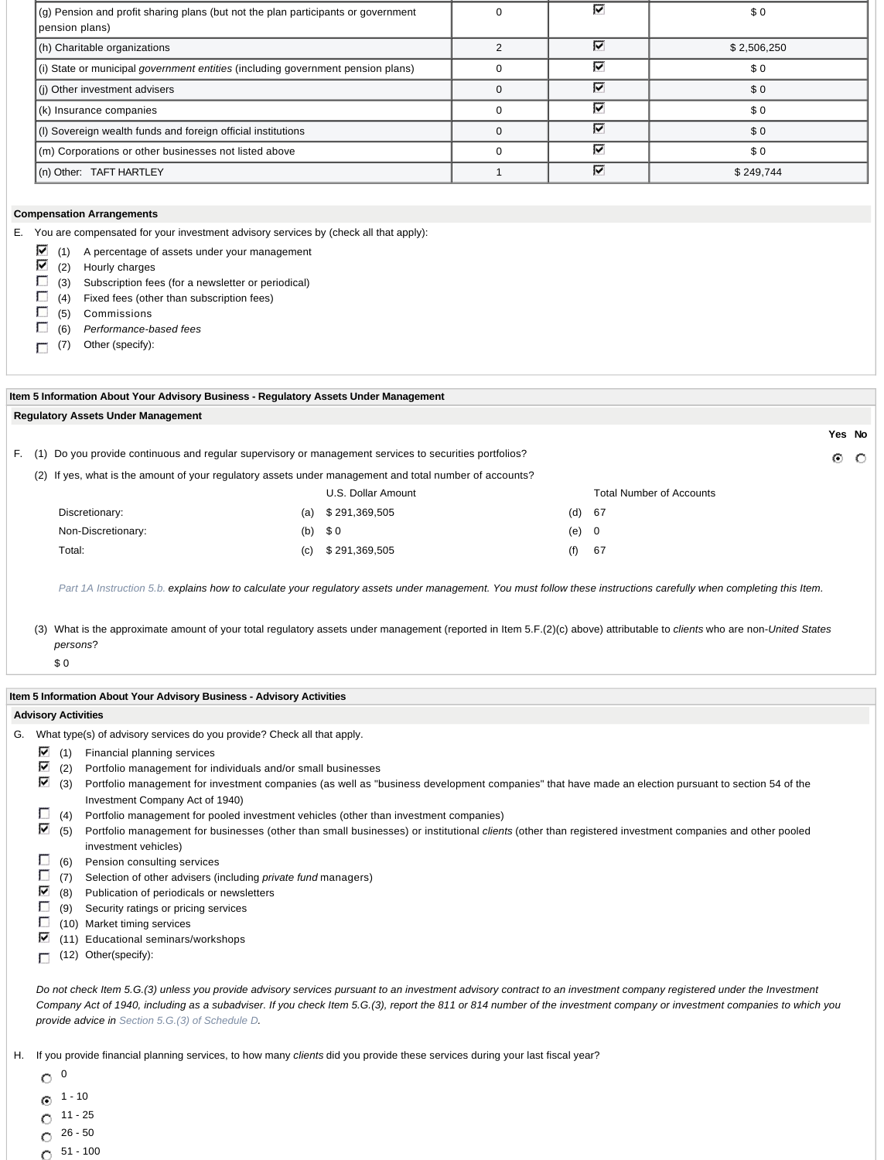| (g) Pension and profit sharing plans (but not the plan participants or government<br>pension plans) | ⊽ | \$0         |
|-----------------------------------------------------------------------------------------------------|---|-------------|
| (h) Charitable organizations                                                                        | ⊽ | \$2,506,250 |
| (i) State or municipal government entities (including government pension plans)                     | ⊽ | \$0         |
| (i) Other investment advisers                                                                       | ⊽ | \$0         |
| (k) Insurance companies                                                                             | ⊽ | \$0         |
| (I) Sovereign wealth funds and foreign official institutions                                        | ⊽ | \$0         |
| (m) Corporations or other businesses not listed above                                               | ⊽ | \$0         |
| (n) Other: TAFT HARTLEY                                                                             | ⊽ | \$249,744   |

### **Compensation Arrangements**

E. You are compensated for your investment advisory services by (check all that apply):

- $\triangledown$  (1) A percentage of assets under your management
- $\triangleright$  (2) Hourly charges
- $\Box$  (3) Subscription fees (for a newsletter or periodical)
- $\Box$  (4) Fixed fees (other than subscription fees)
- $\Box$  (5) Commissions
- (6) *Performance-based fees*
- (7) Other (specify):

| Item 5 Information About Your Advisory Business - Regulatory Assets Under Management |                                                                                                           |     |                    |     |                                 |                 |  |
|--------------------------------------------------------------------------------------|-----------------------------------------------------------------------------------------------------------|-----|--------------------|-----|---------------------------------|-----------------|--|
| <b>Regulatory Assets Under Management</b>                                            |                                                                                                           |     |                    |     |                                 |                 |  |
|                                                                                      |                                                                                                           |     |                    |     |                                 | Yes No          |  |
|                                                                                      | F. (1) Do you provide continuous and regular supervisory or management services to securities portfolios? |     |                    |     |                                 | $\circ$ $\circ$ |  |
|                                                                                      | (2) If yes, what is the amount of your regulatory assets under management and total number of accounts?   |     |                    |     |                                 |                 |  |
|                                                                                      |                                                                                                           |     | U.S. Dollar Amount |     | <b>Total Number of Accounts</b> |                 |  |
|                                                                                      | Discretionary:                                                                                            | (a) | \$291,369,505      | (d) | -67                             |                 |  |
|                                                                                      | Non-Discretionary:                                                                                        | (b) | \$0                | (e) | - 0                             |                 |  |
|                                                                                      | Total:                                                                                                    | (c) | \$291,369,505      | (f) | -67                             |                 |  |

*Part 1A Instruction 5.b. explains how to calculate your regulatory assets under management. You must follow these instructions carefully when completing this Item.*

(3) What is the approximate amount of your total regulatory assets under management (reported in Item 5.F.(2)(c) above) attributable to *clients* who are non-*United States persons*?

\$ 0

### **Item 5 Information About Your Advisory Business - Advisory Activities**

### **Advisory Activities**

- G. What type(s) of advisory services do you provide? Check all that apply.
	- $\triangledown$  (1) Financial planning services
	- $\blacksquare$  (2) Portfolio management for individuals and/or small businesses
	- (3) Portfolio management for investment companies (as well as "business development companies" that have made an election pursuant to section 54 of the Investment Company Act of 1940)
	- $\Box$  (4) Portfolio management for pooled investment vehicles (other than investment companies)

⊽ (5) Portfolio management for businesses (other than small businesses) or institutional *clients* (other than registered investment companies and other pooled investment vehicles)

- $\Box$  (6) Pension consulting services
- Г (7) Selection of other advisers (including *private fund* managers)
- ∇ (8) Publication of periodicals or newsletters
- П (9) Security ratings or pricing services
- П (10) Market timing services
- (11) Educational seminars/workshops
- (12) Other(specify):

*Do not check Item 5.G.(3) unless you provide advisory services pursuant to an investment advisory contract to an investment company registered under the Investment Company Act of 1940, including as a subadviser. If you check Item 5.G.(3), report the 811 or 814 number of the investment company or investment companies to which you provide advice in Section 5.G.(3) of Schedule D.* 

H. If you provide financial planning services, to how many *clients* did you provide these services during your last fiscal year?

 $\circ$   $\circ$ 

- $\odot$  1 10
- 11 25 O.
- $\circ$  26 50
- 51 100O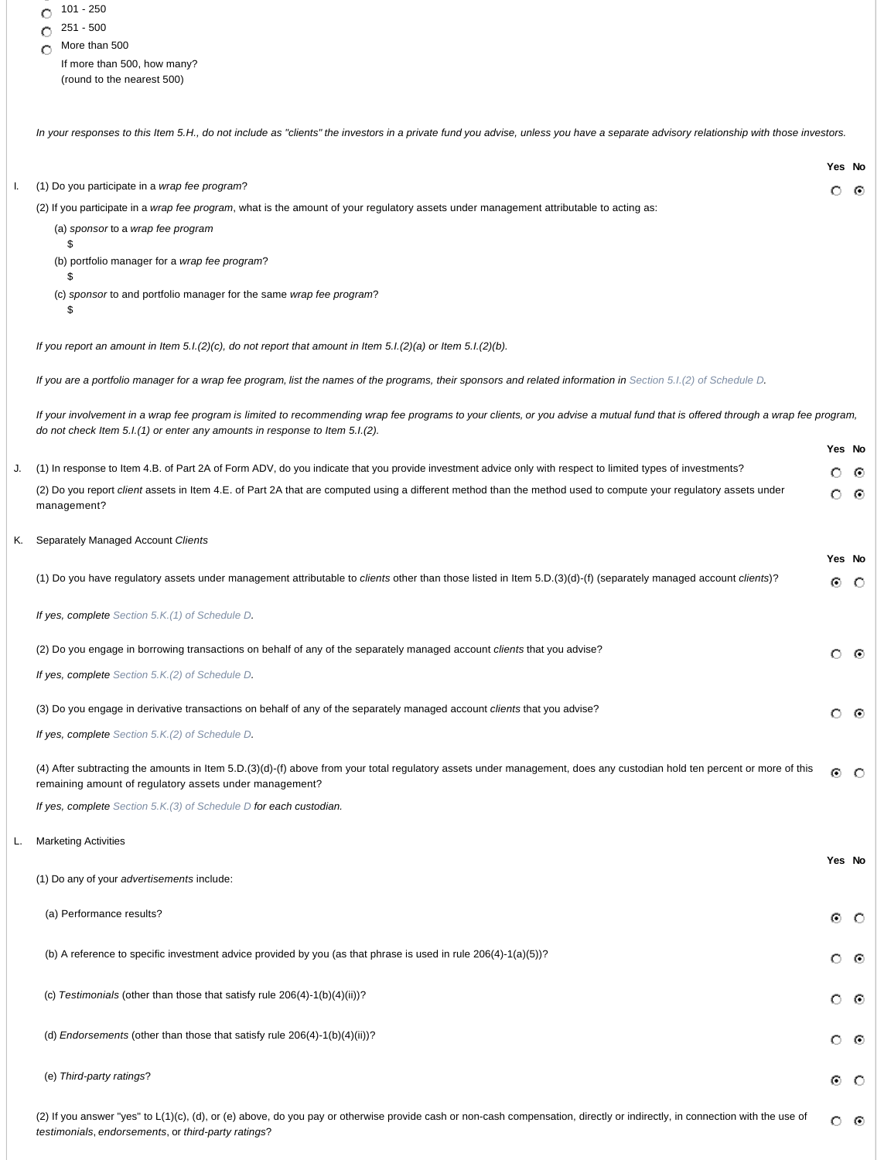|  |  | 101 - 250 |
|--|--|-----------|
|--|--|-----------|

- $\degree$  251 500
- 
- $\bigcirc$  More than 500 If more than 500, how many? (round to the nearest 500)

*In your responses to this Item 5.H., do not include as "clients" the investors in a private fund you advise, unless you have a separate advisory relationship with those investors.* 

|    |                                                                                                                                                                                                                                                                | Yes No  |         |
|----|----------------------------------------------------------------------------------------------------------------------------------------------------------------------------------------------------------------------------------------------------------------|---------|---------|
|    | (1) Do you participate in a wrap fee program?                                                                                                                                                                                                                  | О       | ⊙       |
|    | (2) If you participate in a wrap fee program, what is the amount of your regulatory assets under management attributable to acting as:<br>(a) sponsor to a wrap fee program                                                                                    |         |         |
|    | \$<br>(b) portfolio manager for a wrap fee program?                                                                                                                                                                                                            |         |         |
|    |                                                                                                                                                                                                                                                                |         |         |
|    | (c) sponsor to and portfolio manager for the same wrap fee program?<br>\$                                                                                                                                                                                      |         |         |
|    | If you report an amount in Item 5.1.(2)(c), do not report that amount in Item $5.1(2)(a)$ or Item $5.1(2)(b)$ .                                                                                                                                                |         |         |
|    | If you are a portfolio manager for a wrap fee program, list the names of the programs, their sponsors and related information in Section 5.1.(2) of Schedule D.                                                                                                |         |         |
|    | If your involvement in a wrap fee program is limited to recommending wrap fee programs to your clients, or you advise a mutual fund that is offered through a wrap fee program,<br>do not check Item 5.I.(1) or enter any amounts in response to Item 5.I.(2). |         |         |
|    |                                                                                                                                                                                                                                                                | Yes No  |         |
|    | (1) In response to Item 4.B. of Part 2A of Form ADV, do you indicate that you provide investment advice only with respect to limited types of investments?                                                                                                     | O       | ⊙       |
|    | (2) Do you report client assets in Item 4.E. of Part 2A that are computed using a different method than the method used to compute your regulatory assets under<br>management?                                                                                 | О       | ⊙       |
| K. | Separately Managed Account Clients                                                                                                                                                                                                                             |         |         |
|    |                                                                                                                                                                                                                                                                | Yes No  |         |
|    | (1) Do you have regulatory assets under management attributable to clients other than those listed in Item 5.D.(3)(d)-(f) (separately managed account clients)?                                                                                                | ⊙       | $\circ$ |
|    | If yes, complete Section 5.K.(1) of Schedule D.                                                                                                                                                                                                                |         |         |
|    | (2) Do you engage in borrowing transactions on behalf of any of the separately managed account clients that you advise?                                                                                                                                        | O       | ⊙       |
|    | If yes, complete Section 5.K.(2) of Schedule D.                                                                                                                                                                                                                |         |         |
|    | (3) Do you engage in derivative transactions on behalf of any of the separately managed account clients that you advise?                                                                                                                                       | О       | ⊙       |
|    | If yes, complete Section 5.K.(2) of Schedule D.                                                                                                                                                                                                                |         |         |
|    | (4) After subtracting the amounts in Item 5.D.(3)(d)-(f) above from your total regulatory assets under management, does any custodian hold ten percent or more of this<br>remaining amount of regulatory assets under management?                              | ⊙       | $\circ$ |
|    | If yes, complete Section 5.K.(3) of Schedule D for each custodian.                                                                                                                                                                                             |         |         |
|    | <b>Marketing Activities</b>                                                                                                                                                                                                                                    |         |         |
|    |                                                                                                                                                                                                                                                                | Yes No  |         |
|    | (1) Do any of your advertisements include:                                                                                                                                                                                                                     |         |         |
|    | (a) Performance results?                                                                                                                                                                                                                                       | ۰       | $\circ$ |
|    | (b) A reference to specific investment advice provided by you (as that phrase is used in rule $206(4)-1(a)(5)$ )?                                                                                                                                              | О       | ⊙       |
|    | (c) Testimonials (other than those that satisfy rule 206(4)-1(b)(4)(ii))?                                                                                                                                                                                      | О       | ⊙       |
|    | (d) Endorsements (other than those that satisfy rule 206(4)-1(b)(4)(ii))?                                                                                                                                                                                      | O       | ⊙       |
|    | (e) Third-party ratings?                                                                                                                                                                                                                                       | ۰       | $\circ$ |
|    | (2) If you answer "yes" to L(1)(c), (d), or (e) above, do you pay or otherwise provide cash or non-cash compensation, directly or indirectly, in connection with the use of<br>testimonials, endorsements, or third-party ratings?                             | $\circ$ | ⊙       |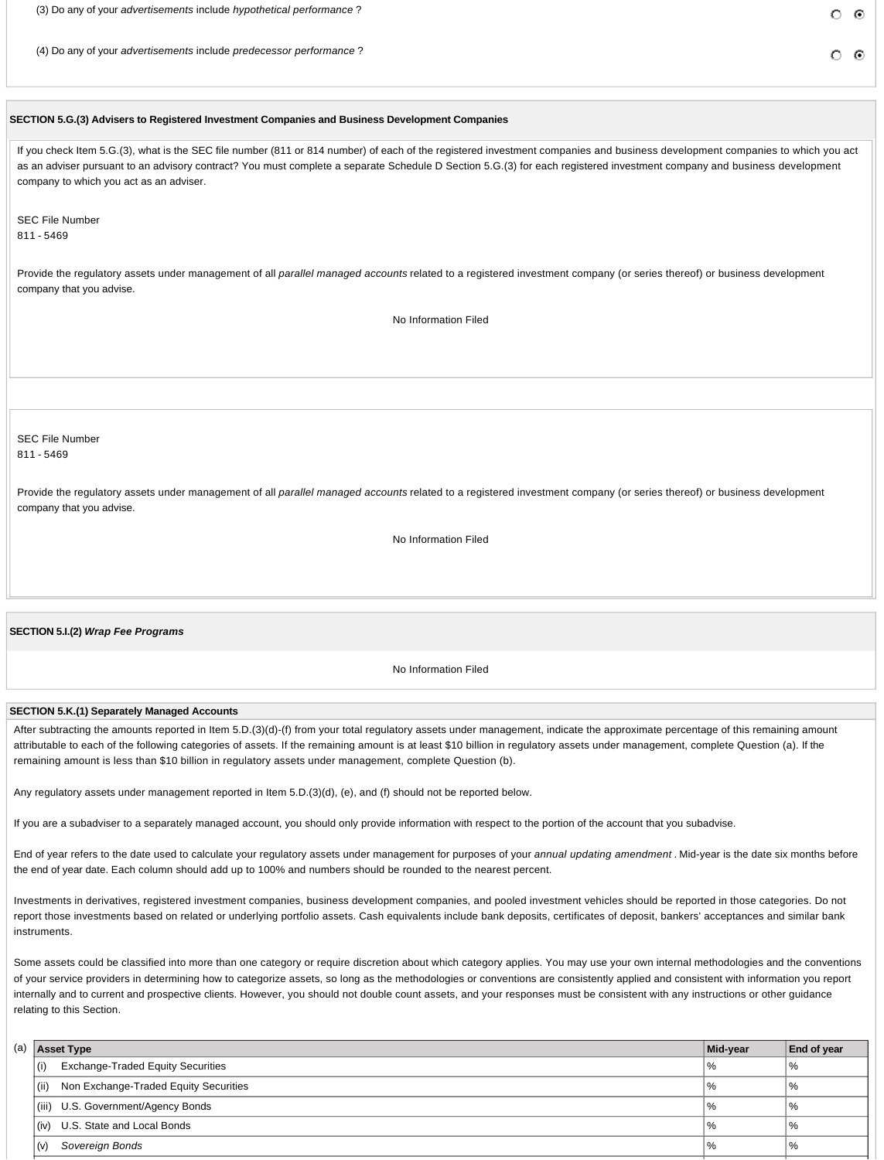(3) Do any of your *advertisements* include *hypothetical performance* ?

(4) Do any of your *advertisements* include *predecessor performance* ?

േര

# **SECTION 5.G.(3) Advisers to Registered Investment Companies and Business Development Companies**

If you check Item 5.G.(3), what is the SEC file number (811 or 814 number) of each of the registered investment companies and business development companies to which you act as an adviser pursuant to an advisory contract? You must complete a separate Schedule D Section 5.G.(3) for each registered investment company and business development company to which you act as an adviser.

SEC File Number 811 - 5469

Provide the regulatory assets under management of all *parallel managed accounts* related to a registered investment company (or series thereof) or business development company that you advise.

No Information Filed

# SEC File Number 811 - 5469

Provide the regulatory assets under management of all *parallel managed accounts* related to a registered investment company (or series thereof) or business development company that you advise.

No Information Filed

**SECTION 5.I.(2)** *Wrap Fee Programs*

No Information Filed

# **SECTION 5.K.(1) Separately Managed Accounts**

After subtracting the amounts reported in Item 5.D.(3)(d)-(f) from your total regulatory assets under management, indicate the approximate percentage of this remaining amount attributable to each of the following categories of assets. If the remaining amount is at least \$10 billion in regulatory assets under management, complete Question (a). If the remaining amount is less than \$10 billion in regulatory assets under management, complete Question (b).

Any regulatory assets under management reported in Item 5.D.(3)(d), (e), and (f) should not be reported below.

If you are a subadviser to a separately managed account, you should only provide information with respect to the portion of the account that you subadvise.

End of year refers to the date used to calculate your regulatory assets under management for purposes of your *annual updating amendment* . Mid-year is the date six months before the end of year date. Each column should add up to 100% and numbers should be rounded to the nearest percent.

Investments in derivatives, registered investment companies, business development companies, and pooled investment vehicles should be reported in those categories. Do not report those investments based on related or underlying portfolio assets. Cash equivalents include bank deposits, certificates of deposit, bankers' acceptances and similar bank instruments.

Some assets could be classified into more than one category or require discretion about which category applies. You may use your own internal methodologies and the conventions of your service providers in determining how to categorize assets, so long as the methodologies or conventions are consistently applied and consistent with information you report internally and to current and prospective clients. However, you should not double count assets, and your responses must be consistent with any instructions or other guidance relating to this Section.

| (a) |      | <b>Asset Type</b>                        | Mid-year | <b>End of year</b> |
|-----|------|------------------------------------------|----------|--------------------|
|     | (i)  | <b>Exchange-Traded Equity Securities</b> | "%       | "%                 |
|     | (ii) | Non Exchange-Traded Equity Securities    | "%       | "%                 |
|     |      | (iii) U.S. Government/Agency Bonds       | "%       | %                  |
|     | (iv) | U.S. State and Local Bonds               | $\%$     | %                  |
|     | (V   | Sovereign Bonds                          | $\%$     | ' %                |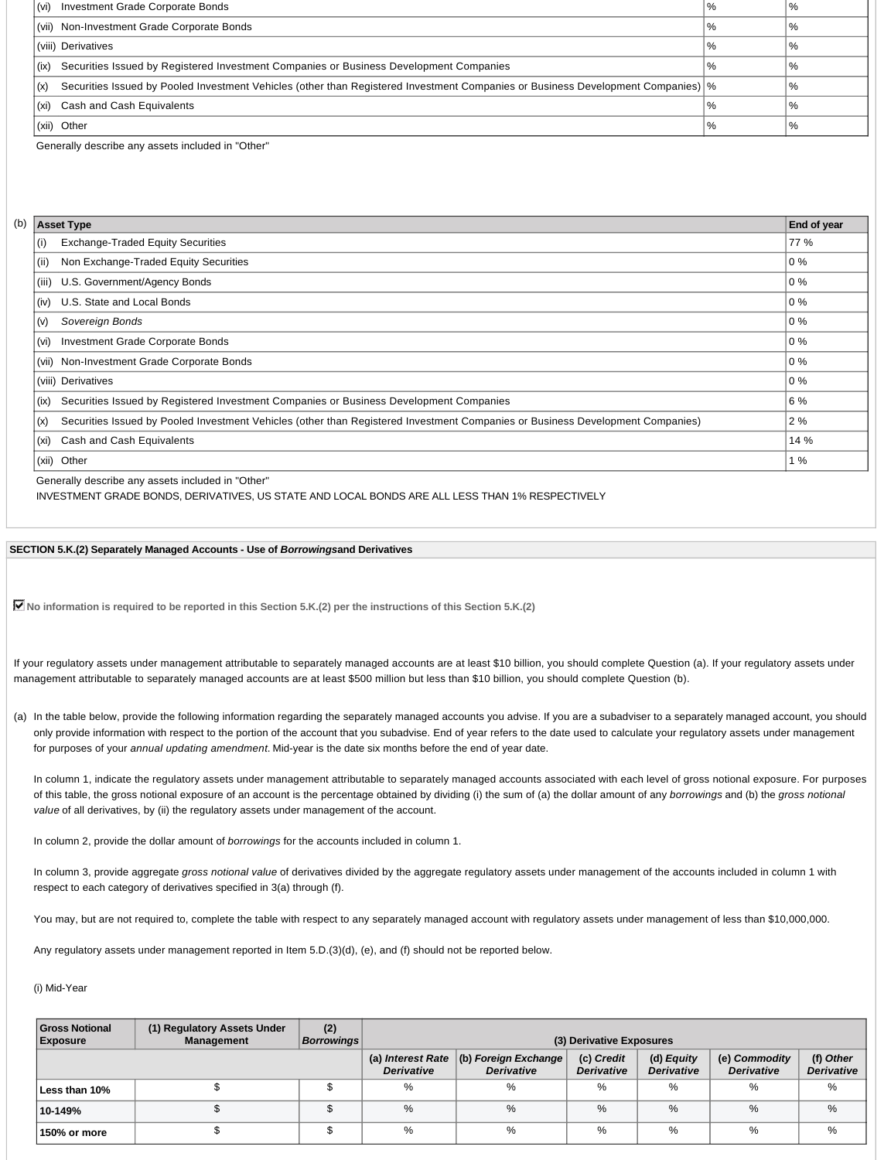| Investment Grade Corporate Bonds<br>(vi)                                                                                                                      | $\%$ | $\%$         |
|---------------------------------------------------------------------------------------------------------------------------------------------------------------|------|--------------|
| (vii) Non-Investment Grade Corporate Bonds                                                                                                                    | $\%$ | $\%$         |
| (viii) Derivatives                                                                                                                                            | %    | $\%$         |
| Securities Issued by Registered Investment Companies or Business Development Companies<br>(ix)                                                                | $\%$ | $\%$         |
| Securities Issued by Pooled Investment Vehicles (other than Registered Investment Companies or Business Development Companies) \%<br>$\mathbf{I}(\mathsf{x})$ |      | %            |
| Cash and Cash Equivalents<br>(xi)                                                                                                                             | $\%$ | $^{\circ}$ % |
| (xii) Other                                                                                                                                                   | %    | %            |

Generally describe any assets included in "Other"

| (b) |       | <b>Asset Type</b>                                                                                                              | End of year      |
|-----|-------|--------------------------------------------------------------------------------------------------------------------------------|------------------|
|     | (i)   | <b>Exchange-Traded Equity Securities</b>                                                                                       | 77 %             |
|     | (ii)  | Non Exchange-Traded Equity Securities                                                                                          | $\overline{0}$ % |
|     | (iii) | U.S. Government/Agency Bonds                                                                                                   | $\overline{0}$ % |
|     | (iv)  | U.S. State and Local Bonds                                                                                                     | 0%               |
|     | (v)   | Sovereign Bonds                                                                                                                | 0%               |
|     | (vi)  | Investment Grade Corporate Bonds                                                                                               | 0%               |
|     |       | (vii) Non-Investment Grade Corporate Bonds                                                                                     | 0%               |
|     |       | (viii) Derivatives                                                                                                             | 0%               |
|     | (ix)  | Securities Issued by Registered Investment Companies or Business Development Companies                                         | 6 %              |
|     | (x)   | Securities Issued by Pooled Investment Vehicles (other than Registered Investment Companies or Business Development Companies) | 2 %              |
|     | (xi)  | Cash and Cash Equivalents                                                                                                      | 14 %             |
|     | (xii) | Other                                                                                                                          | 1%               |

Generally describe any assets included in "Other"

INVESTMENT GRADE BONDS, DERIVATIVES, US STATE AND LOCAL BONDS ARE ALL LESS THAN 1% RESPECTIVELY

**SECTION 5.K.(2) Separately Managed Accounts - Use of** *Borrowings***and Derivatives**

**No information is required to be reported in this Section 5.K.(2) per the instructions of this Section 5.K.(2)**

If your regulatory assets under management attributable to separately managed accounts are at least \$10 billion, you should complete Question (a). If your regulatory assets under management attributable to separately managed accounts are at least \$500 million but less than \$10 billion, you should complete Question (b).

(a) In the table below, provide the following information regarding the separately managed accounts you advise. If you are a subadviser to a separately managed account, you should only provide information with respect to the portion of the account that you subadvise. End of year refers to the date used to calculate your regulatory assets under management for purposes of your *annual updating amendment*. Mid-year is the date six months before the end of year date.

In column 1, indicate the regulatory assets under management attributable to separately managed accounts associated with each level of gross notional exposure. For purposes of this table, the gross notional exposure of an account is the percentage obtained by dividing (i) the sum of (a) the dollar amount of any *borrowings* and (b) the *gross notional value* of all derivatives, by (ii) the regulatory assets under management of the account.

In column 2, provide the dollar amount of *borrowings* for the accounts included in column 1.

In column 3, provide aggregate *gross notional value* of derivatives divided by the aggregate regulatory assets under management of the accounts included in column 1 with respect to each category of derivatives specified in 3(a) through (f).

You may, but are not required to, complete the table with respect to any separately managed account with regulatory assets under management of less than \$10,000,000.

Any regulatory assets under management reported in Item 5.D.(3)(d), (e), and (f) should not be reported below.

### (i) Mid-Year

| <b>Gross Notional</b><br><b>Exposure</b> | (1) Regulatory Assets Under<br><b>Management</b> | (2)<br><b>Borrowings</b> | (3) Derivative Exposures |                                                                |                                 |                                 |                                    |                                |
|------------------------------------------|--------------------------------------------------|--------------------------|--------------------------|----------------------------------------------------------------|---------------------------------|---------------------------------|------------------------------------|--------------------------------|
|                                          |                                                  |                          | <b>Derivative</b>        | (a) Interest Rate $ (b)$ Foreign Exchange<br><b>Derivative</b> | (c) Credit<br><b>Derivative</b> | (d) Equity<br><b>Derivative</b> | (e) Commodity<br><b>Derivative</b> | (f) Other<br><b>Derivative</b> |
| Less than 10%                            |                                                  |                          | %                        | %                                                              | %                               | %                               | %                                  | %                              |
| 10-149%                                  |                                                  |                          | $\%$                     | $\%$                                                           | $\%$                            | $\%$                            | %                                  | %                              |
| 150% or more                             |                                                  |                          | %                        | %                                                              | %                               | %                               | %                                  | %                              |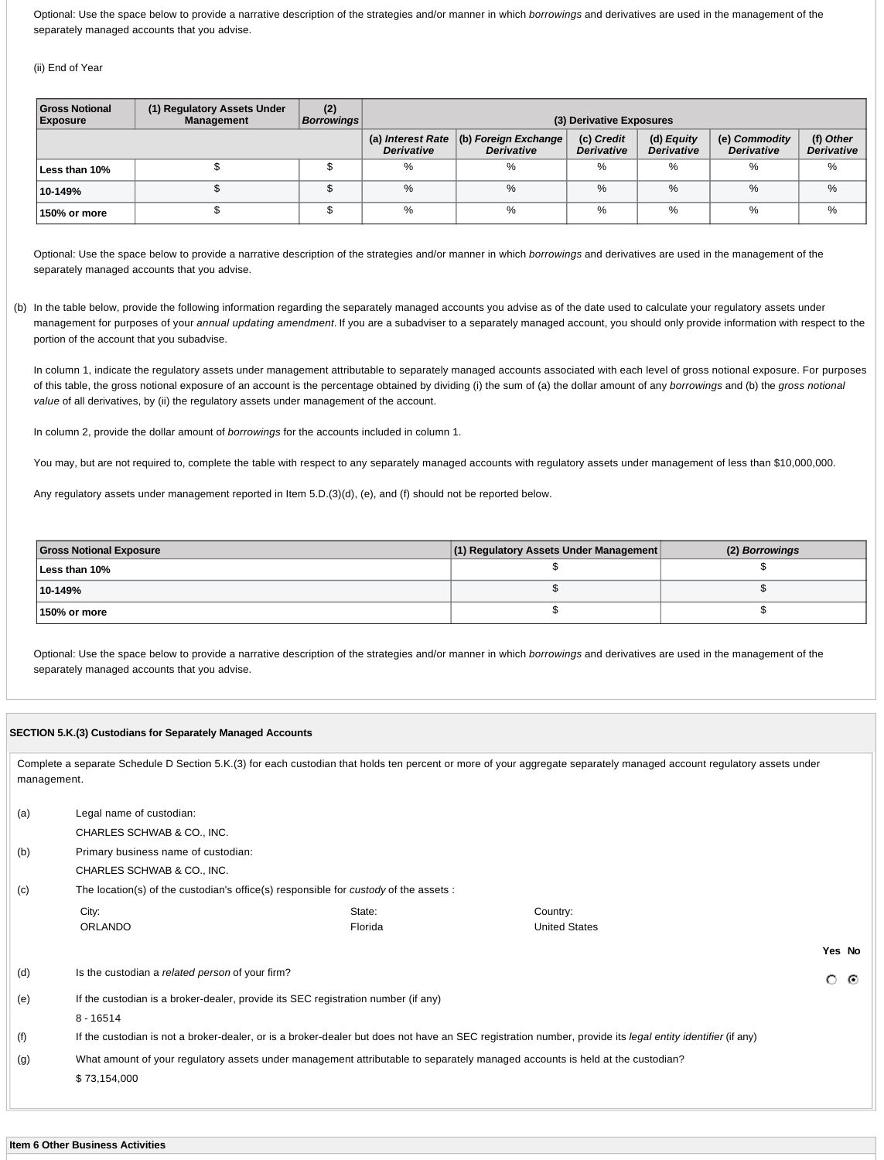Optional: Use the space below to provide a narrative description of the strategies and/or manner in which *borrowings* and derivatives are used in the management of the separately managed accounts that you advise.

(ii) End of Year

| <b>Gross Notional</b><br><b>Exposure</b> | (1) Regulatory Assets Under<br><b>Management</b> | (2)<br><b>Borrowings</b> | (3) Derivative Exposures |                                                                 |                                 |                                 |                                    |                                |
|------------------------------------------|--------------------------------------------------|--------------------------|--------------------------|-----------------------------------------------------------------|---------------------------------|---------------------------------|------------------------------------|--------------------------------|
|                                          |                                                  |                          | <b>Derivative</b>        | (a) Interest Rate $ $ (b) Foreign Exchange<br><b>Derivative</b> | (c) Credit<br><b>Derivative</b> | (d) Equity<br><b>Derivative</b> | (e) Commodity<br><b>Derivative</b> | (f) Other<br><b>Derivative</b> |
| Less than 10%                            |                                                  |                          | %                        | %                                                               | %                               | %                               | %                                  | %                              |
| 10-149%                                  |                                                  | J                        | %                        | $\%$                                                            | $\%$                            | %                               | $\%$                               | $\%$                           |
| 150% or more                             |                                                  |                          | %                        | %                                                               | %                               | %                               | $\%$                               | %                              |

Optional: Use the space below to provide a narrative description of the strategies and/or manner in which *borrowings* and derivatives are used in the management of the separately managed accounts that you advise.

(b) In the table below, provide the following information regarding the separately managed accounts you advise as of the date used to calculate your regulatory assets under management for purposes of your *annual updating amendment*. If you are a subadviser to a separately managed account, you should only provide information with respect to the portion of the account that you subadvise.

In column 1, indicate the regulatory assets under management attributable to separately managed accounts associated with each level of gross notional exposure. For purposes of this table, the gross notional exposure of an account is the percentage obtained by dividing (i) the sum of (a) the dollar amount of any *borrowings* and (b) the *gross notional value* of all derivatives, by (ii) the regulatory assets under management of the account.

In column 2, provide the dollar amount of *borrowings* for the accounts included in column 1.

You may, but are not required to, complete the table with respect to any separately managed accounts with regulatory assets under management of less than \$10,000,000.

Any regulatory assets under management reported in Item 5.D.(3)(d), (e), and (f) should not be reported below.

| <b>Gross Notional Exposure</b> | (1) Regulatory Assets Under Management | (2) Borrowings |
|--------------------------------|----------------------------------------|----------------|
| Less than 10%                  |                                        |                |
| 10-149%                        |                                        |                |
| 150% or more                   |                                        |                |

Optional: Use the space below to provide a narrative description of the strategies and/or manner in which *borrowings* and derivatives are used in the management of the separately managed accounts that you advise.

|             | SECTION 5.K.(3) Custodians for Separately Managed Accounts |                                                                                                                              |                                                                                                                                                                       |              |  |  |
|-------------|------------------------------------------------------------|------------------------------------------------------------------------------------------------------------------------------|-----------------------------------------------------------------------------------------------------------------------------------------------------------------------|--------------|--|--|
| management. |                                                            |                                                                                                                              | Complete a separate Schedule D Section 5.K.(3) for each custodian that holds ten percent or more of your aggregate separately managed account regulatory assets under |              |  |  |
| (a)         | Legal name of custodian:                                   |                                                                                                                              |                                                                                                                                                                       |              |  |  |
|             | CHARLES SCHWAB & CO., INC.                                 |                                                                                                                              |                                                                                                                                                                       |              |  |  |
| (b)         | Primary business name of custodian:                        |                                                                                                                              |                                                                                                                                                                       |              |  |  |
|             | CHARLES SCHWAB & CO., INC.                                 |                                                                                                                              |                                                                                                                                                                       |              |  |  |
| (c)         |                                                            | The location(s) of the custodian's office(s) responsible for custody of the assets :                                         |                                                                                                                                                                       |              |  |  |
|             | City:                                                      | State:                                                                                                                       | Country:                                                                                                                                                              |              |  |  |
|             | <b>ORLANDO</b>                                             | Florida                                                                                                                      | <b>United States</b>                                                                                                                                                  |              |  |  |
|             |                                                            |                                                                                                                              |                                                                                                                                                                       | Yes No       |  |  |
| (d)         | Is the custodian a related person of your firm?            |                                                                                                                              |                                                                                                                                                                       | O<br>$\odot$ |  |  |
| (e)         |                                                            | If the custodian is a broker-dealer, provide its SEC registration number (if any)                                            |                                                                                                                                                                       |              |  |  |
|             | $8 - 16514$                                                |                                                                                                                              |                                                                                                                                                                       |              |  |  |
| (f)         |                                                            |                                                                                                                              | If the custodian is not a broker-dealer, or is a broker-dealer but does not have an SEC registration number, provide its legal entity identifier (if any)             |              |  |  |
| (g)         |                                                            | What amount of your regulatory assets under management attributable to separately managed accounts is held at the custodian? |                                                                                                                                                                       |              |  |  |
|             | \$73,154,000                                               |                                                                                                                              |                                                                                                                                                                       |              |  |  |
|             |                                                            |                                                                                                                              |                                                                                                                                                                       |              |  |  |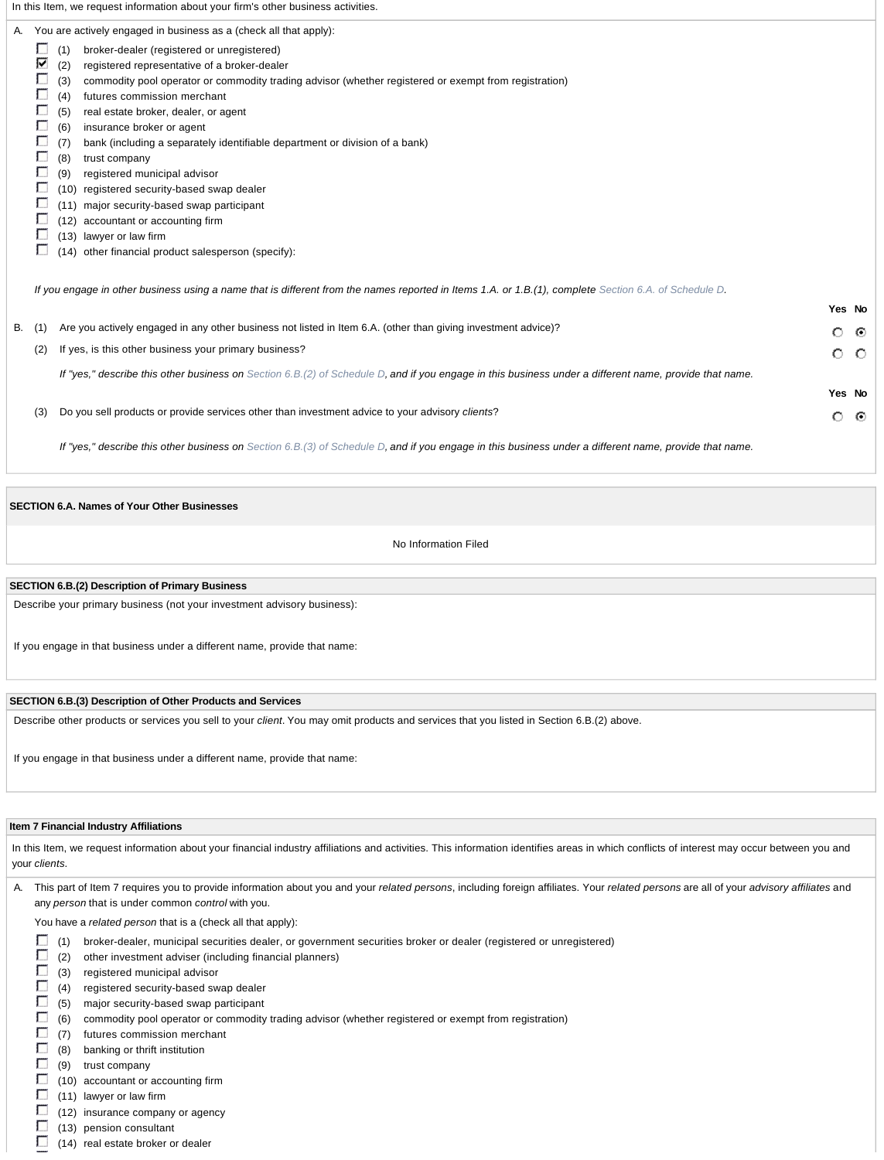|    |                                                     | In this Item, we request information about your firm's other business activities.                                                                                                                                                                                                                                                                                                                                                                                                                                                                                                                                                                                                                                                                                                                        |         |         |
|----|-----------------------------------------------------|----------------------------------------------------------------------------------------------------------------------------------------------------------------------------------------------------------------------------------------------------------------------------------------------------------------------------------------------------------------------------------------------------------------------------------------------------------------------------------------------------------------------------------------------------------------------------------------------------------------------------------------------------------------------------------------------------------------------------------------------------------------------------------------------------------|---------|---------|
|    | Е<br>⊽<br>Г<br>г<br>Г<br>Г<br>г<br>П<br>Г<br>Е<br>г | A. You are actively engaged in business as a (check all that apply):<br>(1)<br>broker-dealer (registered or unregistered)<br>registered representative of a broker-dealer<br>(2)<br>(3)<br>commodity pool operator or commodity trading advisor (whether registered or exempt from registration)<br>futures commission merchant<br>(4)<br>(5)<br>real estate broker, dealer, or agent<br>(6)<br>insurance broker or agent<br>bank (including a separately identifiable department or division of a bank)<br>(7)<br>(8)<br>trust company<br>(9)<br>registered municipal advisor<br>registered security-based swap dealer<br>(10)<br>(11) major security-based swap participant<br>accountant or accounting firm<br>(12)<br>(13) lawyer or law firm<br>(14) other financial product salesperson (specify): |         |         |
|    |                                                     | If you engage in other business using a name that is different from the names reported in Items 1.A. or 1.B.(1), complete Section 6.A. of Schedule D.                                                                                                                                                                                                                                                                                                                                                                                                                                                                                                                                                                                                                                                    | Yes No  |         |
| В. | (1)                                                 | Are you actively engaged in any other business not listed in Item 6.A. (other than giving investment advice)?                                                                                                                                                                                                                                                                                                                                                                                                                                                                                                                                                                                                                                                                                            | $\circ$ | ⊙       |
|    | (2)                                                 | If yes, is this other business your primary business?                                                                                                                                                                                                                                                                                                                                                                                                                                                                                                                                                                                                                                                                                                                                                    | O       | $\circ$ |
|    |                                                     | If "yes," describe this other business on Section 6.B.(2) of Schedule D, and if you engage in this business under a different name, provide that name.                                                                                                                                                                                                                                                                                                                                                                                                                                                                                                                                                                                                                                                   |         |         |
|    |                                                     |                                                                                                                                                                                                                                                                                                                                                                                                                                                                                                                                                                                                                                                                                                                                                                                                          | Yes No  |         |
|    | (3)                                                 | Do you sell products or provide services other than investment advice to your advisory clients?                                                                                                                                                                                                                                                                                                                                                                                                                                                                                                                                                                                                                                                                                                          | $\circ$ | ⊙       |

*If "yes," describe this other business on Section 6.B.(3) of Schedule D, and if you engage in this business under a different name, provide that name.*

### **SECTION 6.A. Names of Your Other Businesses**

No Information Filed

### **SECTION 6.B.(2) Description of Primary Business**

Describe your primary business (not your investment advisory business):

If you engage in that business under a different name, provide that name:

### **SECTION 6.B.(3) Description of Other Products and Services**

Describe other products or services you sell to your *client*. You may omit products and services that you listed in Section 6.B.(2) above.

If you engage in that business under a different name, provide that name:

### **Item 7 Financial Industry Affiliations**

In this Item, we request information about your financial industry affiliations and activities. This information identifies areas in which conflicts of interest may occur between you and your *clients*.

A. This part of Item 7 requires you to provide information about you and your *related persons*, including foreign affiliates. Your *related persons* are all of your *advisory affiliates* and any *person* that is under common *control* with you.

You have a *related person* that is a (check all that apply):

- (1) broker-dealer, municipal securities dealer, or government securities broker or dealer (registered or unregistered)
- $\Box$  (2) other investment adviser (including financial planners)
- $\Box$  (3) registered municipal advisor
- $(4)$  registered security-based swap dealer
- $\Box$  (5) major security-based swap participant
- $\Box$  (6) commodity pool operator or commodity trading advisor (whether registered or exempt from registration)
- $\Box$  (7) futures commission merchant
- $\Box$  (8) banking or thrift institution
- $\Box$  (9) trust company
- $\Box$  (10) accountant or accounting firm
- $\Box$  (11) lawyer or law firm
- $\Box$  (12) insurance company or agency
- $\Box$  (13) pension consultant  $\Box$  (14) real estate broker or dealer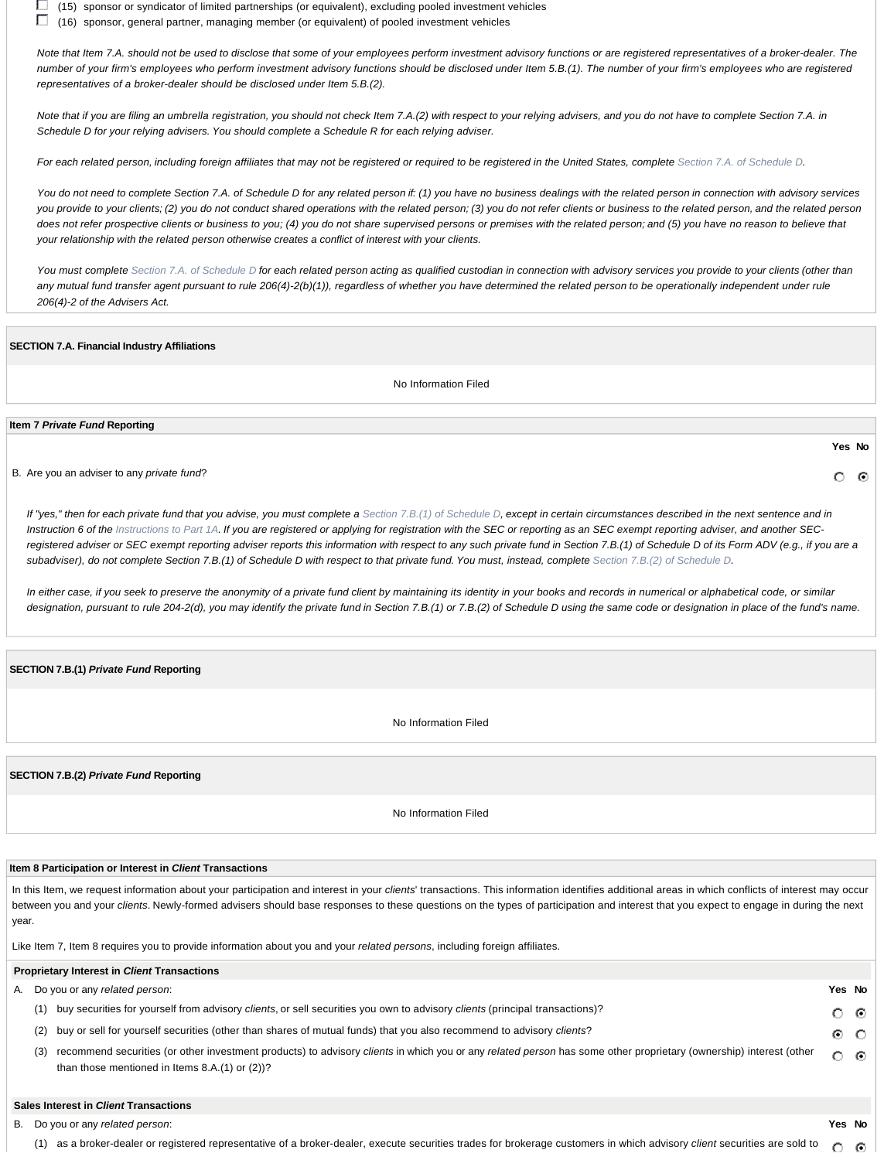(15) sponsor or syndicator of limited partnerships (or equivalent), excluding pooled investment vehicles

 $\Box$  (16) sponsor, general partner, managing member (or equivalent) of pooled investment vehicles

*Note that Item 7.A. should not be used to disclose that some of your employees perform investment advisory functions or are registered representatives of a broker-dealer. The number of your firm's employees who perform investment advisory functions should be disclosed under Item 5.B.(1). The number of your firm's employees who are registered representatives of a broker-dealer should be disclosed under Item 5.B.(2).* 

*Note that if you are filing an umbrella registration, you should not check Item 7.A.(2) with respect to your relying advisers, and you do not have to complete Section 7.A. in Schedule D for your relying advisers. You should complete a Schedule R for each relying adviser.* 

*For each related person, including foreign affiliates that may not be registered or required to be registered in the United States, complete Section 7.A. of Schedule D.* 

*You do not need to complete Section 7.A. of Schedule D for any related person if: (1) you have no business dealings with the related person in connection with advisory services you provide to your clients; (2) you do not conduct shared operations with the related person; (3) you do not refer clients or business to the related person, and the related person does not refer prospective clients or business to you; (4) you do not share supervised persons or premises with the related person; and (5) you have no reason to believe that your relationship with the related person otherwise creates a conflict of interest with your clients.* 

*You must complete Section 7.A. of Schedule D for each related person acting as qualified custodian in connection with advisory services you provide to your clients (other than any mutual fund transfer agent pursuant to rule 206(4)-2(b)(1)), regardless of whether you have determined the related person to be operationally independent under rule 206(4)-2 of the Advisers Act.*

### **SECTION 7.A. Financial Industry Affiliations**

No Information Filed

### **Item 7** *Private Fund* **Reporting**

B. Are you an adviser to any *private fund*?

*If "yes," then for each private fund that you advise, you must complete a Section 7.B.(1) of Schedule D, except in certain circumstances described in the next sentence and in* Instruction 6 of the Instructions to Part 1A. If you are registered or applying for registration with the SEC or reporting as an SEC exempt reporting adviser, and another SEC*registered adviser or SEC exempt reporting adviser reports this information with respect to any such private fund in Section 7.B.(1) of Schedule D of its Form ADV (e.g., if you are a subadviser), do not complete Section 7.B.(1) of Schedule D with respect to that private fund. You must, instead, complete Section 7.B.(2) of Schedule D.* 

*In either case, if you seek to preserve the anonymity of a private fund client by maintaining its identity in your books and records in numerical or alphabetical code, or similar* designation, pursuant to rule 204-2(d), you may identify the private fund in Section 7.B.(1) or 7.B.(2) of Schedule D using the same code or designation in place of the fund's name.

### **SECTION 7.B.(1)** *Private Fund* **Reporting**

No Information Filed

**SECTION 7.B.(2)** *Private Fund* **Reporting**

No Information Filed

### **Item 8 Participation or Interest in** *Client* **Transactions**

In this Item, we request information about your participation and interest in your *clients*' transactions. This information identifies additional areas in which conflicts of interest may occur between you and your *clients*. Newly-formed advisers should base responses to these questions on the types of participation and interest that you expect to engage in during the next year.

Like Item 7, Item 8 requires you to provide information about you and your *related persons*, including foreign affiliates.

#### **Proprietary Interest in** *Client* **Transactions** A. Do you or any *related person*: **Yes No** (1) buy securities for yourself from advisory *clients*, or sell securities you own to advisory *clients* (principal transactions)?  $\circ$ ⊙ (2) buy or sell for yourself securities (other than shares of mutual funds) that you also recommend to advisory *clients*? ⊙  $\circ$ (3) recommend securities (or other investment products) to advisory *clients* in which you or any *related person* has some other proprietary (ownership) interest (other O  $\epsilon$ than those mentioned in Items 8.A.(1) or (2))?

### **Sales Interest in** *Client* **Transactions**

B. Do you or any *related person*: **Yes No**

**Yes No**

O - 0

(1) as a broker-dealer or registered representative of a broker-dealer, execute securities trades for brokerage customers in which advisory *client* securities are sold to $\circ$  $\odot$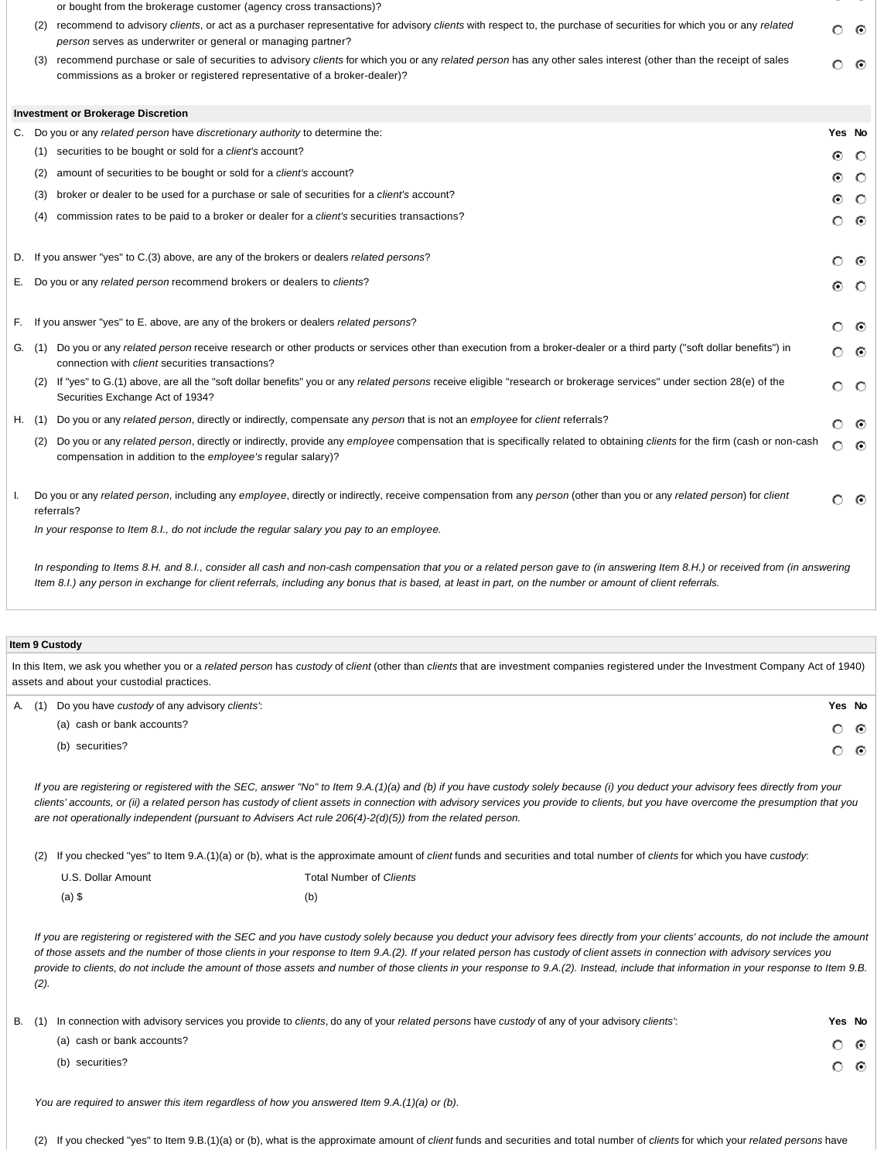or bought from the brokerage customer (agency cross transactions)?

- (2) recommend to advisory *clients*, or act as a purchaser representative for advisory *clients* with respect to, the purchase of securities for which you or any *related* േര *person* serves as underwriter or general or managing partner?
- (3) recommend purchase or sale of securities to advisory *clients* for which you or any *related person* has any other sales interest (other than the receipt of sales റ ര commissions as a broker or registered representative of a broker-dealer)?

|    | <b>Investment or Brokerage Discretion</b>                                                                                                                                                                                                      |                 |         |
|----|------------------------------------------------------------------------------------------------------------------------------------------------------------------------------------------------------------------------------------------------|-----------------|---------|
| C. | Do you or any related person have discretionary authority to determine the:                                                                                                                                                                    | Yes No          |         |
|    | securities to be bought or sold for a client's account?<br>(1)                                                                                                                                                                                 | $\odot$         | $\circ$ |
|    | amount of securities to be bought or sold for a client's account?<br>(2)                                                                                                                                                                       | ⊙               | - 0     |
|    | broker or dealer to be used for a purchase or sale of securities for a client's account?<br>(3)                                                                                                                                                | ⊙               | - 0     |
|    | commission rates to be paid to a broker or dealer for a client's securities transactions?<br>(4)                                                                                                                                               | $\circ$ $\circ$ |         |
|    | D. If you answer "yes" to C.(3) above, are any of the brokers or dealers related persons?                                                                                                                                                      | $\circ$         | - 0     |
| Е. | Do you or any related person recommend brokers or dealers to clients?                                                                                                                                                                          | ⊙               | $\circ$ |
| F. | If you answer "yes" to E. above, are any of the brokers or dealers related persons?                                                                                                                                                            | $\circ$ $\circ$ |         |
|    | Do you or any related person receive research or other products or services other than execution from a broker-dealer or a third party ("soft dollar benefits") in<br>G. (1)<br>connection with <i>client</i> securities transactions?         | ၀ ၜ             |         |
|    | If "yes" to G.(1) above, are all the "soft dollar benefits" you or any related persons receive eligible "research or brokerage services" under section 28(e) of the<br>(2)<br>Securities Exchange Act of 1934?                                 | $\circ$ $\circ$ |         |
|    | Do you or any related person, directly or indirectly, compensate any person that is not an employee for client referrals?<br>H. (1)                                                                                                            | O.              | -⊙      |
|    | Do you or any related person, directly or indirectly, provide any employee compensation that is specifically related to obtaining clients for the firm (cash or non-cash<br>(2)<br>compensation in addition to the employee's regular salary)? | $\circ$         | ⊙       |
|    | Do you or any related person, including any employee, directly or indirectly, receive compensation from any person (other than you or any related person) for client<br>referrals?                                                             | ் ⊚             |         |
|    | In your response to Item 8.I., do not include the regular salary you pay to an employee.                                                                                                                                                       |                 |         |
|    | In responding to Items 8.H. and 8.I., consider all cash and non-cash compensation that you or a related person gave to (in answering Item 8.H.) or received from (in answering                                                                 |                 |         |

# **Item 9 Custody**

In this Item, we ask you whether you or a *related person* has *custody* of *client* (other than *clients* that are investment companies registered under the Investment Company Act of 1940) assets and about your custodial practices.

*Item 8.I.) any person in exchange for client referrals, including any bonus that is based, at least in part, on the number or amount of client referrals.* 

|  | A. (1) Do you have custody of any advisory clients': | Yes No |  |
|--|------------------------------------------------------|--------|--|
|  | (a) cash or bank accounts?                           | ் ⊚    |  |
|  | (b) securities?                                      | ் ⊚    |  |

*If you are registering or registered with the SEC, answer "No" to Item 9.A.(1)(a) and (b) if you have custody solely because (i) you deduct your advisory fees directly from your clients' accounts, or (ii) a related person has custody of client assets in connection with advisory services you provide to clients, but you have overcome the presumption that you are not operationally independent (pursuant to Advisers Act rule 206(4)-2(d)(5)) from the related person.*

(2) If you checked "yes" to Item 9.A.(1)(a) or (b), what is the approximate amount of *client* funds and securities and total number of *clients* for which you have *custody*:

| U.S. Dollar Amount | <b>Total Number of Clients</b> |
|--------------------|--------------------------------|
| $(a)$ \$           | (b)                            |

*If you are registering or registered with the SEC and you have custody solely because you deduct your advisory fees directly from your clients' accounts, do not include the amount of those assets and the number of those clients in your response to Item 9.A.(2). If your related person has custody of client assets in connection with advisory services you provide to clients, do not include the amount of those assets and number of those clients in your response to 9.A.(2). Instead, include that information in your response to Item 9.B. (2).*

B. (1) In connection with advisory services you provide to *clients*, do any of your *related persons* have *custody* of any of your advisory *clients'*: **Yes No**

 $\circ$  $\odot$ O ⊙

*You are required to answer this item regardless of how you answered Item 9.A.(1)(a) or (b).*

(a) cash or bank accounts?

(b) securities?

(2) If you checked "yes" to Item 9.B.(1)(a) or (b), what is the approximate amount of *client* funds and securities and total number of *clients* for which your *related persons* have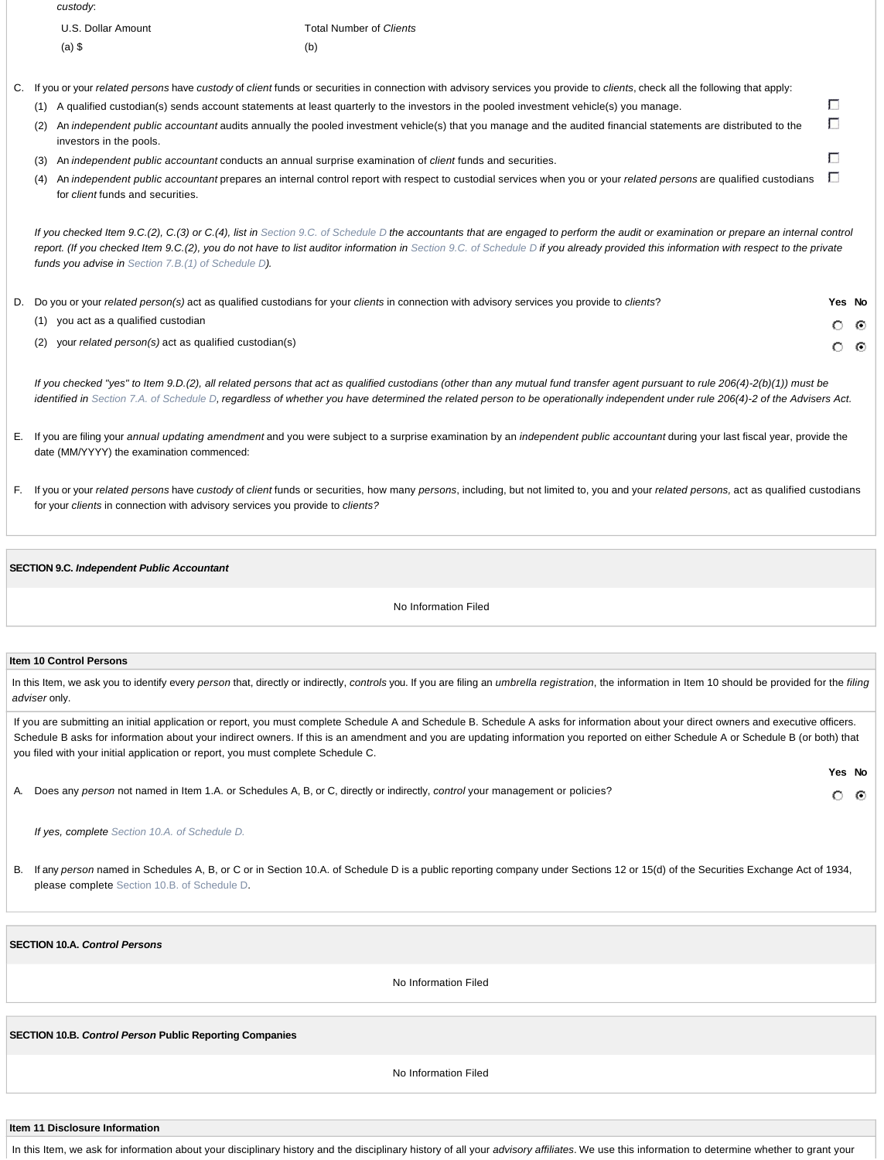|     | custody:                                |                                                                                                                                                                                     |              |
|-----|-----------------------------------------|-------------------------------------------------------------------------------------------------------------------------------------------------------------------------------------|--------------|
|     | U.S. Dollar Amount                      | Total Number of Clients                                                                                                                                                             |              |
|     | $(a)$ \$                                | (b)                                                                                                                                                                                 |              |
|     |                                         | C. If you or your related persons have custody of client funds or securities in connection with advisory services you provide to clients, check all the following that apply:       |              |
| (1) |                                         | A qualified custodian(s) sends account statements at least quarterly to the investors in the pooled investment vehicle(s) you manage.                                               |              |
| (2) | investors in the pools.                 | An independent public accountant audits annually the pooled investment vehicle(s) that you manage and the audited financial statements are distributed to the                       | $\mathbf{L}$ |
| (3) |                                         | An independent public accountant conducts an annual surprise examination of client funds and securities.                                                                            |              |
| (4) | for <i>client</i> funds and securities. | An independent public accountant prepares an internal control report with respect to custodial services when you or your related persons are qualified custodians                   |              |
|     |                                         | If you checked Item 9.C.(2), C.(3) or C.(4), list in Section 9.C. of Schedule D the accountants that are engaged to perform the audit or examination or prepare an internal control |              |
|     |                                         |                                                                                                                                                                                     |              |

*report. (If you checked Item 9.C.(2), you do not have to list auditor information in Section 9.C. of Schedule D if you already provided this information with respect to the private funds you advise in Section 7.B.(1) of Schedule D).*

| D. Do you or your related person(s) act as qualified custodians for your clients in connection with advisory services you provide to clients? | Yes No |  |
|-----------------------------------------------------------------------------------------------------------------------------------------------|--------|--|
| (1) you act as a qualified custodian                                                                                                          | റൈ     |  |
| $(2)$ your related person(s) act as qualified custodian(s)                                                                                    | റൈ     |  |

*If you checked "yes" to Item 9.D.(2), all related persons that act as qualified custodians (other than any mutual fund transfer agent pursuant to rule 206(4)-2(b)(1)) must be identified in Section 7.A. of Schedule D, regardless of whether you have determined the related person to be operationally independent under rule 206(4)-2 of the Advisers Act.*

- E. If you are filing your *annual updating amendment* and you were subject to a surprise examination by an *independent public accountant* during your last fiscal year, provide the date (MM/YYYY) the examination commenced:
- F. If you or your *related persons* have *custody* of *client* funds or securities, how many *persons*, including, but not limited to, you and your *related persons,* act as qualified custodians for your *clients* in connection with advisory services you provide to *clients?*

### **SECTION 9.C.** *Independent Public Accountant*

No Information Filed

### **Item 10 Control Persons**

In this Item, we ask you to identify every person that, directly or indirectly, controls you. If you are filing an umbrella registration, the information in Item 10 should be provided for the filing *adviser* only.

If you are submitting an initial application or report, you must complete Schedule A and Schedule B. Schedule A asks for information about your direct owners and executive officers. Schedule B asks for information about your indirect owners. If this is an amendment and you are updating information you reported on either Schedule A or Schedule B (or both) that you filed with your initial application or report, you must complete Schedule C.

**Yes No**

 $\circ$   $\circ$ 

A. Does any *person* not named in Item 1.A. or Schedules A, B, or C, directly or indirectly, *control* your management or policies?

*If yes, complete Section 10.A. of Schedule D.*

B. If any *person* named in Schedules A, B, or C or in Section 10.A. of Schedule D is a public reporting company under Sections 12 or 15(d) of the Securities Exchange Act of 1934, please complete Section 10.B. of Schedule D.

## **SECTION 10.A.** *Control Persons*

No Information Filed

**SECTION 10.B.** *Control Person* **Public Reporting Companies**

No Information Filed

**Item 11 Disclosure Information**

In this Item, we ask for information about your disciplinary history and the disciplinary history of all your *advisory affiliates*. We use this information to determine whether to grant your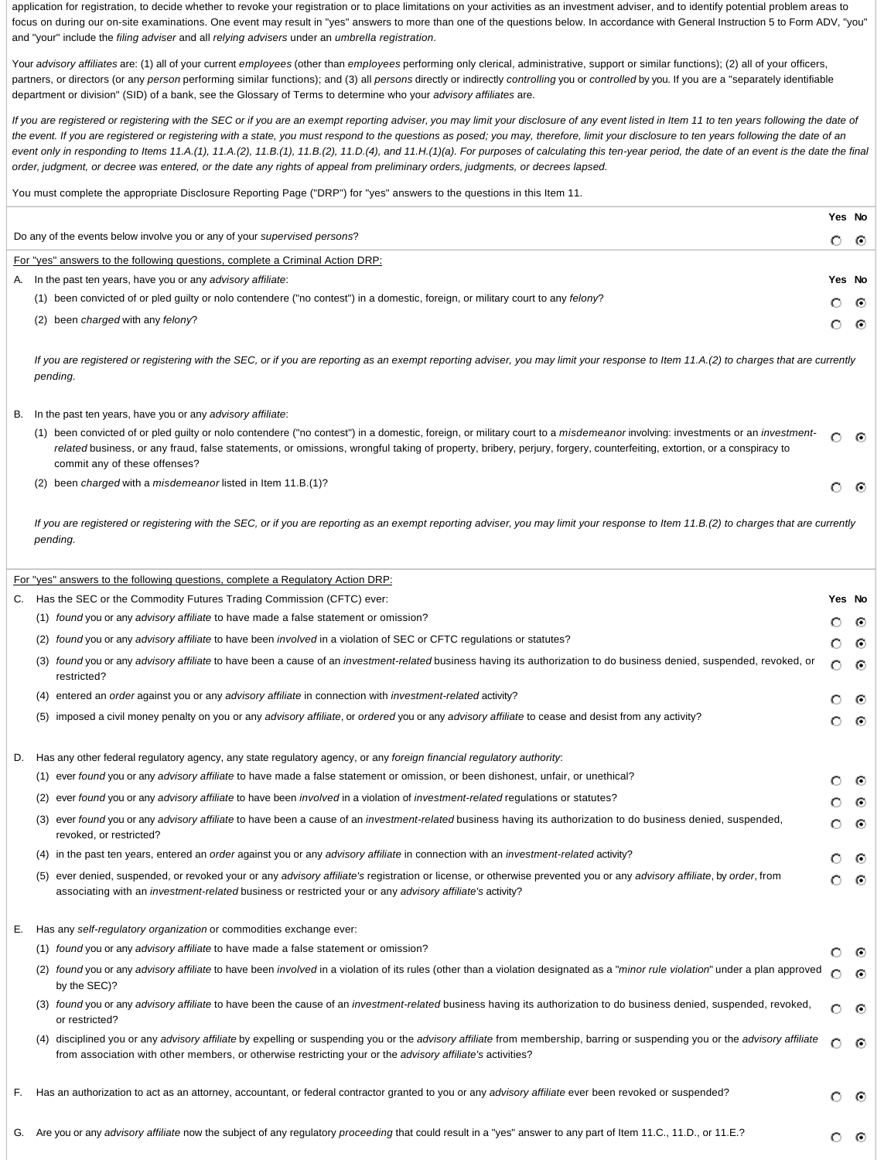application for registration, to decide whether to revoke your registration or to place limitations on your activities as an investment adviser, and to identify potential problem areas to focus on during our on-site examinations. One event may result in "yes" answers to more than one of the questions below. In accordance with General Instruction 5 to Form ADV, "you" and "your" include the *filing adviser* and all *relying advisers* under an *umbrella registration*.

Your *advisory affiliates* are: (1) all of your current *employees* (other than *employees* performing only clerical, administrative, support or similar functions); (2) all of your officers, partners, or directors (or any *person* performing similar functions); and (3) all *persons* directly or indirectly *controlling* you or *controlled* by you. If you are a "separately identifiable department or division" (SID) of a bank, see the Glossary of Terms to determine who your *advisory affiliates* are.

*If you are registered or registering with the SEC or if you are an exempt reporting adviser, you may limit your disclosure of any event listed in Item 11 to ten years following the date of the event. If you are registered or registering with a state, you must respond to the questions as posed; you may, therefore, limit your disclosure to ten years following the date of an* event only in responding to Items 11.A.(1), 11.A.(2), 11.B.(1), 11.B.(2), 11.D.(4), and 11.H.(1)(a). For purposes of calculating this ten-year period, the date of an event is the date the final *order, judgment, or decree was entered, or the date any rights of appeal from preliminary orders, judgments, or decrees lapsed.*

You must complete the appropriate Disclosure Reporting Page ("DRP") for "yes" answers to the questions in this Item 11.

|                                                                                                                                    | Yes No  |     |
|------------------------------------------------------------------------------------------------------------------------------------|---------|-----|
| Do any of the events below involve you or any of your <i>supervised persons</i> ?                                                  |         |     |
| For "yes" answers to the following questions, complete a Criminal Action DRP:                                                      |         |     |
| A. In the past ten years, have you or any advisory affiliate:                                                                      | Yes No  |     |
| been convicted of or pled guilty or nolo contendere ("no contest") in a domestic, foreign, or military court to any felony?<br>(1) | O       | - 0 |
| been charged with any felony?<br>(2)                                                                                               | $\circ$ | - 0 |
|                                                                                                                                    |         |     |

*If you are registered or registering with the SEC, or if you are reporting as an exempt reporting adviser, you may limit your response to Item 11.A.(2) to charges that are currently pending.*

### B. In the past ten years, have you or any *advisory affiliate*:

| (1) been convicted of or pled guilty or nolo contendere ("no contest") in a domestic, foreign, or military court to a misdemeanor involving: investments or an investment- | O 0 |  |
|----------------------------------------------------------------------------------------------------------------------------------------------------------------------------|-----|--|
| related business, or any fraud, false statements, or omissions, wrongful taking of property, bribery, perjury, forgery, counterfeiting, extortion, or a conspiracy to      |     |  |
| commit any of these offenses?                                                                                                                                              |     |  |
|                                                                                                                                                                            |     |  |

 $\odot$ 

O

(2) been *charged* with a *misdemeanor* listed in Item 11.B.(1)?

*If you are registered or registering with the SEC, or if you are reporting as an exempt reporting adviser, you may limit your response to Item 11.B.(2) to charges that are currently pending.*

|    | For "yes" answers to the following questions, complete a Regulatory Action DRP:                                                                                                                                                                                                              |        |         |
|----|----------------------------------------------------------------------------------------------------------------------------------------------------------------------------------------------------------------------------------------------------------------------------------------------|--------|---------|
|    | C. Has the SEC or the Commodity Futures Trading Commission (CFTC) ever:                                                                                                                                                                                                                      | Yes No |         |
|    | (1) found you or any advisory affiliate to have made a false statement or omission?                                                                                                                                                                                                          | О      | $\odot$ |
|    | (2) found you or any advisory affiliate to have been involved in a violation of SEC or CFTC regulations or statutes?                                                                                                                                                                         |        | ⊙       |
|    | found you or any advisory affiliate to have been a cause of an investment-related business having its authorization to do business denied, suspended, revoked, or<br>(3)<br>restricted?                                                                                                      | О      | ⊙       |
|    | entered an order against you or any advisory affiliate in connection with investment-related activity?<br>(4)                                                                                                                                                                                | О      | ⊙       |
|    | (5) imposed a civil money penalty on you or any advisory affiliate, or ordered you or any advisory affiliate to cease and desist from any activity?                                                                                                                                          | O      | ⊙       |
|    | D. Has any other federal regulatory agency, any state regulatory agency, or any foreign financial regulatory authority:                                                                                                                                                                      |        |         |
|    | (1) ever found you or any advisory affiliate to have made a false statement or omission, or been dishonest, unfair, or unethical?                                                                                                                                                            | О      | ⊙       |
|    | ever found you or any advisory affiliate to have been involved in a violation of investment-related regulations or statutes?<br>(2)                                                                                                                                                          | О      | ⊙       |
|    | ever found you or any advisory affiliate to have been a cause of an investment-related business having its authorization to do business denied, suspended,<br>(3)<br>revoked, or restricted?                                                                                                 | О      | ⊙       |
|    | (4) in the past ten years, entered an order against you or any advisory affiliate in connection with an investment-related activity?                                                                                                                                                         | O      | ⊙       |
|    | ever denied, suspended, or revoked your or any advisory affiliate's registration or license, or otherwise prevented you or any advisory affiliate, by order, from<br>(5)<br>associating with an investment-related business or restricted your or any advisory affiliate's activity?         | O      | ⊙       |
| Е. | Has any self-regulatory organization or commodities exchange ever:                                                                                                                                                                                                                           |        |         |
|    | (1) found you or any advisory affiliate to have made a false statement or omission?                                                                                                                                                                                                          | O      | $\odot$ |
|    | found you or any advisory affiliate to have been involved in a violation of its rules (other than a violation designated as a "minor rule violation" under a plan approved<br>(2)<br>by the SEC)?                                                                                            | O      | ⊙       |
|    | (3) found you or any advisory affiliate to have been the cause of an investment-related business having its authorization to do business denied, suspended, revoked,<br>or restricted?                                                                                                       |        | ⊙       |
|    | disciplined you or any advisory affiliate by expelling or suspending you or the advisory affiliate from membership, barring or suspending you or the advisory affiliate<br>(4)<br>from association with other members, or otherwise restricting your or the advisory affiliate's activities? | О      | ⊙       |
| F. | Has an authorization to act as an attorney, accountant, or federal contractor granted to you or any advisory affiliate ever been revoked or suspended?                                                                                                                                       | O      | $\odot$ |
|    | G. Are you or any advisory affiliate now the subject of any regulatory proceeding that could result in a "yes" answer to any part of Item 11.C., 11.D., or 11.E.?                                                                                                                            |        | ⊙       |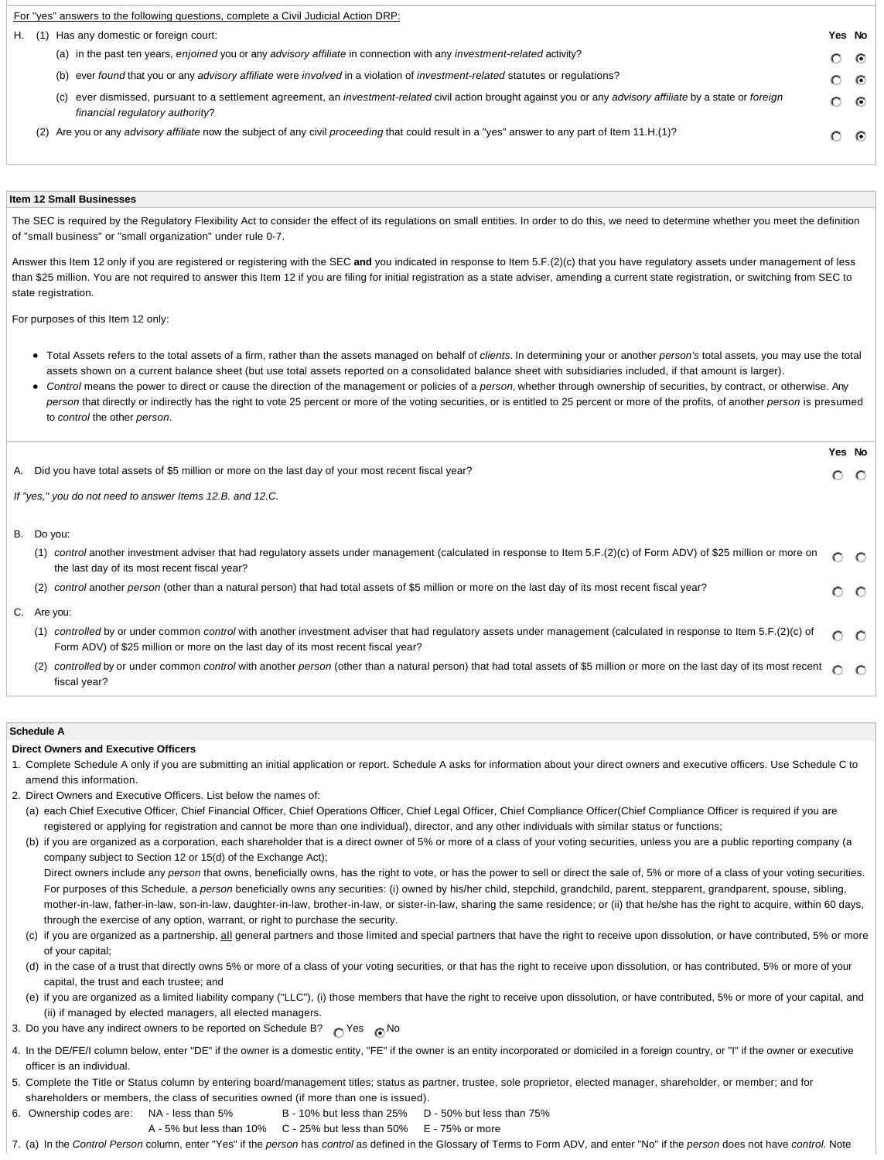|        | For "yes" answers to the following questions, complete a Civil Judicial Action DRP:                                                                                                               |        |     |
|--------|---------------------------------------------------------------------------------------------------------------------------------------------------------------------------------------------------|--------|-----|
| H. (1) | Has any domestic or foreign court:                                                                                                                                                                | Yes No |     |
|        | (a) in the past ten years, enjoined you or any advisory affiliate in connection with any investment-related activity?                                                                             | േര     |     |
|        | (b) ever found that you or any advisory affiliate were involved in a violation of investment-related statutes or regulations?                                                                     | െ ര    |     |
|        | (c) ever dismissed, pursuant to a settlement agreement, an investment-related civil action brought against you or any advisory affiliate by a state or foreign<br>financial regulatory authority? |        | - 0 |
|        | (2) Are you or any advisory affiliate now the subject of any civil proceeding that could result in a "yes" answer to any part of Item 11.H.(1)?                                                   |        | - 0 |

### **Item 12 Small Businesses**

The SEC is required by the Regulatory Flexibility Act to consider the effect of its regulations on small entities. In order to do this, we need to determine whether you meet the definition of "small business" or "small organization" under rule 0-7.

Answer this Item 12 only if you are registered or registering with the SEC **and** you indicated in response to Item 5.F.(2)(c) that you have regulatory assets under management of less than \$25 million. You are not required to answer this Item 12 if you are filing for initial registration as a state adviser, amending a current state registration, or switching from SEC to state registration.

For purposes of this Item 12 only:

- Total Assets refers to the total assets of a firm, rather than the assets managed on behalf of *clients*. In determining your or another *person's* total assets, you may use the total assets shown on a current balance sheet (but use total assets reported on a consolidated balance sheet with subsidiaries included, if that amount is larger).
- *Control* means the power to direct or cause the direction of the management or policies of a *person*, whether through ownership of securities, by contract, or otherwise. Any *person* that directly or indirectly has the right to vote 25 percent or more of the voting securities, or is entitled to 25 percent or more of the profits, of another *person* is presumed to *control* the other *person*.

|                                                                                                                                                                                                                                                             | Yes No          |     |
|-------------------------------------------------------------------------------------------------------------------------------------------------------------------------------------------------------------------------------------------------------------|-----------------|-----|
| A. Did you have total assets of \$5 million or more on the last day of your most recent fiscal year?                                                                                                                                                        | O.              |     |
| If "yes," you do not need to answer Items 12.B. and 12.C.                                                                                                                                                                                                   |                 |     |
|                                                                                                                                                                                                                                                             |                 |     |
| B. Do you:                                                                                                                                                                                                                                                  |                 |     |
| control another investment adviser that had regulatory assets under management (calculated in response to Item 5.F.(2)(c) of Form ADV) of \$25 million or more on<br>(1)<br>the last day of its most recent fiscal year?                                    | $\circ$         | - 0 |
| control another person (other than a natural person) that had total assets of \$5 million or more on the last day of its most recent fiscal year?<br>(2)                                                                                                    | o o             |     |
| C. Are you:                                                                                                                                                                                                                                                 |                 |     |
| controlled by or under common control with another investment adviser that had regulatory assets under management (calculated in response to Item 5.F.(2)(c) of<br>(1)<br>Form ADV) of \$25 million or more on the last day of its most recent fiscal year? | $\circ$ $\circ$ |     |
| controlled by or under common control with another person (other than a natural person) that had total assets of \$5 million or more on the last day of its most recent<br>(2)<br>fiscal year?                                                              | ∩               | O   |

### **Schedule A**

#### **Direct Owners and Executive Officers**

- 1. Complete Schedule A only if you are submitting an initial application or report. Schedule A asks for information about your direct owners and executive officers. Use Schedule C to amend this information.
- 2. Direct Owners and Executive Officers. List below the names of:
	- (a) each Chief Executive Officer, Chief Financial Officer, Chief Operations Officer, Chief Legal Officer, Chief Compliance Officer(Chief Compliance Officer is required if you are registered or applying for registration and cannot be more than one individual), director, and any other individuals with similar status or functions;
	- (b) if you are organized as a corporation, each shareholder that is a direct owner of 5% or more of a class of your voting securities, unless you are a public reporting company (a company subject to Section 12 or 15(d) of the Exchange Act);

Direct owners include any *person* that owns, beneficially owns, has the right to vote, or has the power to sell or direct the sale of, 5% or more of a class of your voting securities. For purposes of this Schedule, a person beneficially owns any securities: (i) owned by his/her child, stepchild, grandchild, parent, stepparent, grandparent, spouse, sibling, mother-in-law, father-in-law, son-in-law, daughter-in-law, brother-in-law, or sister-in-law, sharing the same residence; or (ii) that he/she has the right to acquire, within 60 days, through the exercise of any option, warrant, or right to purchase the security.

- (c) if you are organized as a partnership, all general partners and those limited and special partners that have the right to receive upon dissolution, or have contributed, 5% or more of your capital;
- (d) in the case of a trust that directly owns 5% or more of a class of your voting securities, or that has the right to receive upon dissolution, or has contributed, 5% or more of your capital, the trust and each trustee; and
- (e) if you are organized as a limited liability company ("LLC"), (i) those members that have the right to receive upon dissolution, or have contributed, 5% or more of your capital, and (ii) if managed by elected managers, all elected managers.
- 3. Do you have any indirect owners to be reported on Schedule B?  $\bigcirc$  Yes  $\bigcirc$  No
- 4. In the DE/FE/I column below, enter "DE" if the owner is a domestic entity, "FE" if the owner is an entity incorporated or domiciled in a foreign country, or "I" if the owner or executive officer is an individual.
- 5. Complete the Title or Status column by entering board/management titles; status as partner, trustee, sole proprietor, elected manager, shareholder, or member; and for shareholders or members, the class of securities owned (if more than one is issued).
- 6. Ownership codes are: NA less than 5% B 10% but less than 25% D 50% but less than 75%
	- A 5% but less than 10% C 25% but less than 50% E 75% or more
- 7. (a) In the *Control Person* column, enter "Yes" if the *person* has *control* as defined in the Glossary of Terms to Form ADV, and enter "No" if the *person* does not have *control*. Note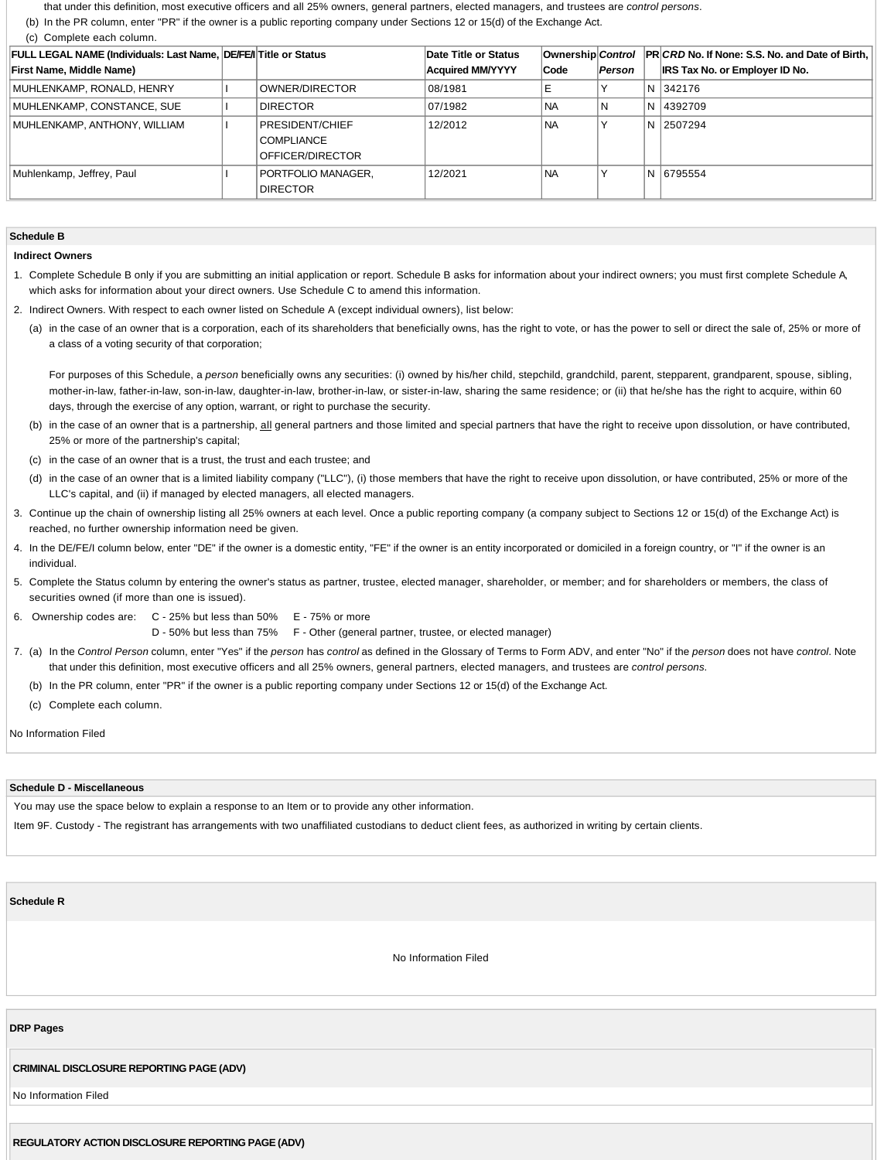that under this definition, most executive officers and all 25% owners, general partners, elected managers, and trustees are *control persons*.

(b) In the PR column, enter "PR" if the owner is a public reporting company under Sections 12 or 15(d) of the Exchange Act.

(c) Complete each column.

| <b>FULL LEGAL NAME (Individuals: Last Name, DE/FE/I Title or Status</b> |                                                          | Date Title or Status    |           |        | Ownership Control PR CRD No. If None: S.S. No. and Date of Birth, |
|-------------------------------------------------------------------------|----------------------------------------------------------|-------------------------|-----------|--------|-------------------------------------------------------------------|
| <b>First Name, Middle Name)</b>                                         |                                                          | <b>Acquired MM/YYYY</b> | Code      | Person | <b>IRS Tax No. or Employer ID No.</b>                             |
| MUHLENKAMP, RONALD, HENRY                                               | OWNER/DIRECTOR                                           | 08/1981                 | Е         |        | N 342176                                                          |
| MUHLENKAMP, CONSTANCE, SUE                                              | <b>DIRECTOR</b>                                          | 07/1982                 | <b>NA</b> | N.     | N   4392709                                                       |
| MUHLENKAMP, ANTHONY, WILLIAM                                            | PRESIDENT/CHIEF<br><b>COMPLIANCE</b><br>OFFICER/DIRECTOR | 12/2012                 | <b>NA</b> |        | N 2507294                                                         |
| Muhlenkamp, Jeffrey, Paul                                               | PORTFOLIO MANAGER.<br><b>DIRECTOR</b>                    | 12/2021                 | <b>NA</b> |        | N 6795554                                                         |

#### **Schedule B**

### **Indirect Owners**

1. Complete Schedule B only if you are submitting an initial application or report. Schedule B asks for information about your indirect owners; you must first complete Schedule A, which asks for information about your direct owners. Use Schedule C to amend this information.

- 2. Indirect Owners. With respect to each owner listed on Schedule A (except individual owners), list below:
	- (a) in the case of an owner that is a corporation, each of its shareholders that beneficially owns, has the right to vote, or has the power to sell or direct the sale of, 25% or more of a class of a voting security of that corporation;

For purposes of this Schedule, a *person* beneficially owns any securities: (i) owned by his/her child, stepchild, grandchild, parent, stepparent, grandparent, spouse, sibling, mother-in-law, father-in-law, son-in-law, daughter-in-law, brother-in-law, or sister-in-law, sharing the same residence; or (ii) that he/she has the right to acquire, within 60 days, through the exercise of any option, warrant, or right to purchase the security.

- (b) in the case of an owner that is a partnership, all general partners and those limited and special partners that have the right to receive upon dissolution, or have contributed, 25% or more of the partnership's capital;
- (c) in the case of an owner that is a trust, the trust and each trustee; and
- (d) in the case of an owner that is a limited liability company ("LLC"), (i) those members that have the right to receive upon dissolution, or have contributed, 25% or more of the LLC's capital, and (ii) if managed by elected managers, all elected managers.
- 3. Continue up the chain of ownership listing all 25% owners at each level. Once a public reporting company (a company subject to Sections 12 or 15(d) of the Exchange Act) is reached, no further ownership information need be given.
- 4. In the DE/FE/I column below, enter "DE" if the owner is a domestic entity, "FE" if the owner is an entity incorporated or domiciled in a foreign country, or "I" if the owner is an individual.
- 5. Complete the Status column by entering the owner's status as partner, trustee, elected manager, shareholder, or member; and for shareholders or members, the class of securities owned (if more than one is issued).
- 6. Ownership codes are: C 25% but less than 50% E 75% or more

D - 50% but less than 75% F - Other (general partner, trustee, or elected manager)

- 7. (a) In the *Control Person* column, enter "Yes" if the *person* has *control* as defined in the Glossary of Terms to Form ADV, and enter "No" if the *person* does not have *control*. Note that under this definition, most executive officers and all 25% owners, general partners, elected managers, and trustees are *control persons*.
	- (b) In the PR column, enter "PR" if the owner is a public reporting company under Sections 12 or 15(d) of the Exchange Act.
	- (c) Complete each column.

#### No Information Filed

#### **Schedule D - Miscellaneous**

You may use the space below to explain a response to an Item or to provide any other information.

Item 9F. Custody - The registrant has arrangements with two unaffiliated custodians to deduct client fees, as authorized in writing by certain clients.

**Schedule R**

No Information Filed

### **DRP Pages**

### **CRIMINAL DISCLOSURE REPORTING PAGE (ADV)**

No Information Filed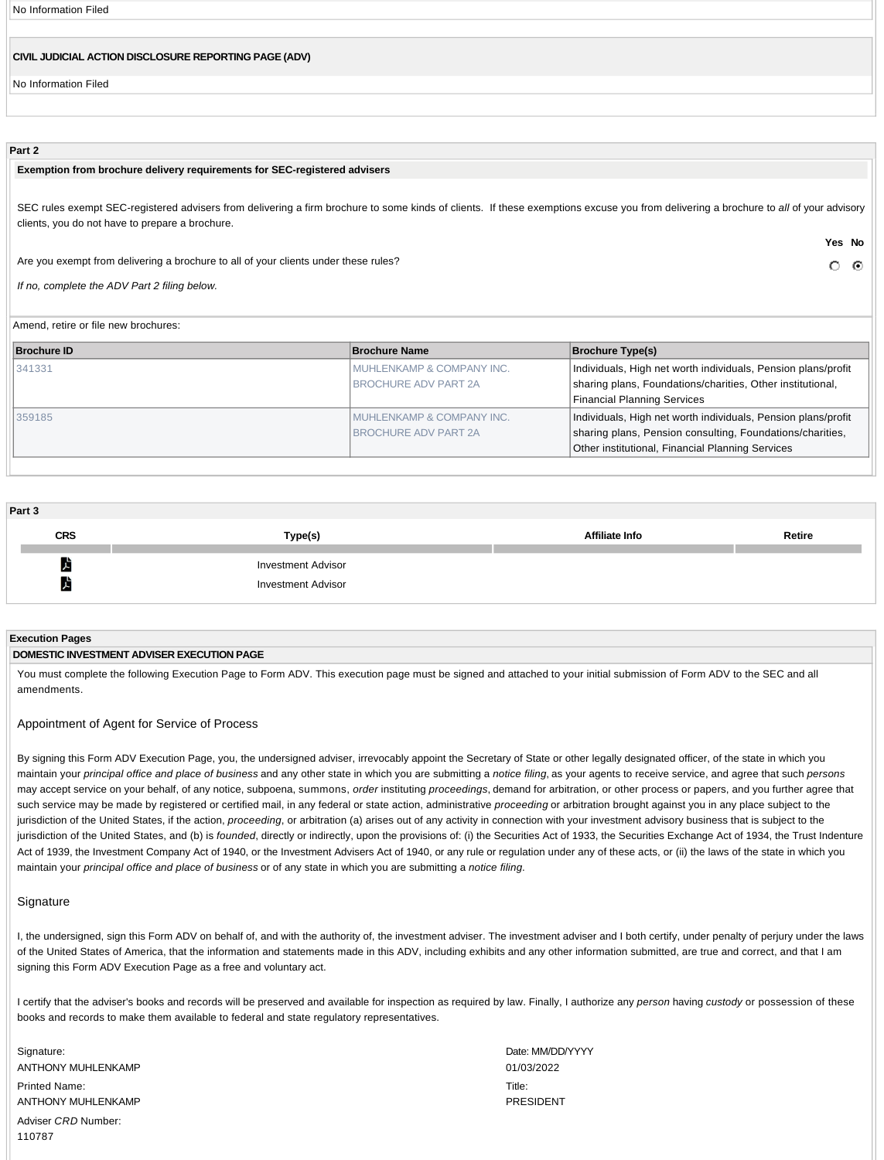No Information Filed

# **CIVIL JUDICIAL ACTION DISCLOSURE REPORTING PAGE (ADV)**

No Information Filed

# **Part 2**

# **Exemption from brochure delivery requirements for SEC-registered advisers**

SEC rules exempt SEC-registered advisers from delivering a firm brochure to some kinds of clients. If these exemptions excuse you from delivering a brochure to all of your advisory clients, you do not have to prepare a brochure.

**Yes No**

 $\circ$  $\odot$ 

Are you exempt from delivering a brochure to all of your clients under these rules?

*If no, complete the ADV Part 2 filing below.*

Amend, retire or file new brochures:

| <b>Brochure ID</b> | <b>Brochure Name</b>        | <b>Brochure Type(s)</b>                                       |
|--------------------|-----------------------------|---------------------------------------------------------------|
| 341331             | MUHLENKAMP & COMPANY INC.   | Individuals, High net worth individuals, Pension plans/profit |
|                    | <b>BROCHURE ADV PART 2A</b> | sharing plans, Foundations/charities, Other institutional,    |
|                    |                             | <b>Financial Planning Services</b>                            |
| 359185             | I MUHLENKAMP & COMPANY INC. | Individuals, High net worth individuals, Pension plans/profit |
|                    | <b>BROCHURE ADV PART 2A</b> | sharing plans, Pension consulting, Foundations/charities,     |
|                    |                             | Other institutional, Financial Planning Services              |

| Part 3            |                                                        |                       |        |
|-------------------|--------------------------------------------------------|-----------------------|--------|
| <b>CRS</b>        | Type(s)                                                | <b>Affiliate Info</b> | Retire |
| $\mathbf{r}$<br>上 | <b>Investment Advisor</b><br><b>Investment Advisor</b> |                       |        |

### **Execution Pages**

### **DOMESTIC INVESTMENT ADVISER EXECUTION PAGE**

You must complete the following Execution Page to Form ADV. This execution page must be signed and attached to your initial submission of Form ADV to the SEC and all amendments.

Appointment of Agent for Service of Process

By signing this Form ADV Execution Page, you, the undersigned adviser, irrevocably appoint the Secretary of State or other legally designated officer, of the state in which you maintain your *principal office and place of business* and any other state in which you are submitting a *notice filing*, as your agents to receive service, and agree that such *persons* may accept service on your behalf, of any notice, subpoena, summons, *order* instituting *proceedings*, demand for arbitration, or other process or papers, and you further agree that such service may be made by registered or certified mail, in any federal or state action, administrative *proceeding* or arbitration brought against you in any place subject to the jurisdiction of the United States, if the action, *proceeding*, or arbitration (a) arises out of any activity in connection with your investment advisory business that is subject to the jurisdiction of the United States, and (b) is *founded*, directly or indirectly, upon the provisions of: (i) the Securities Act of 1933, the Securities Exchange Act of 1934, the Trust Indenture Act of 1939, the Investment Company Act of 1940, or the Investment Advisers Act of 1940, or any rule or regulation under any of these acts, or (ii) the laws of the state in which you maintain your *principal office and place of business* or of any state in which you are submitting a *notice filing*.

### **Signature**

I, the undersigned, sign this Form ADV on behalf of, and with the authority of, the investment adviser. The investment adviser and I both certify, under penalty of perjury under the laws of the United States of America, that the information and statements made in this ADV, including exhibits and any other information submitted, are true and correct, and that I am signing this Form ADV Execution Page as a free and voluntary act.

I certify that the adviser's books and records will be preserved and available for inspection as required by law. Finally, I authorize any *person* having *custody* or possession of these books and records to make them available to federal and state regulatory representatives.

Signature: ANTHONY MUHLENKAMP Printed Name: ANTHONY MUHLENKAMP Adviser *CRD* Number: 110787

Date: MM/DD/YYYY 01/03/2022 Title: PRESIDENT